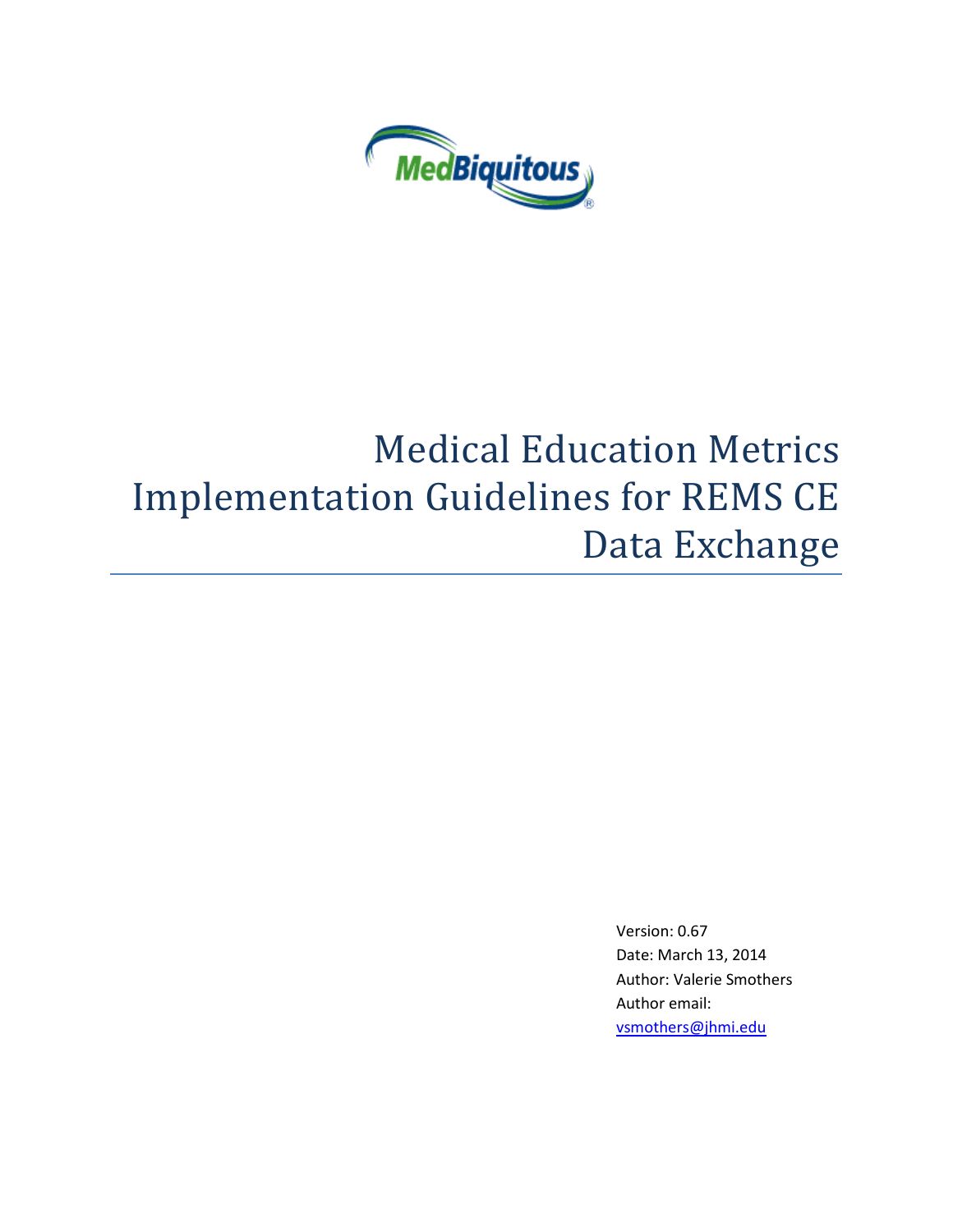

# Medical Education Metrics Implementation Guidelines for REMS CE Data Exchange

Version: 0.67 Date: March 13, 2014 Author: Valerie Smothers Author email: [vsmothers@jhmi.edu](mailto:vsmothers@jhmi.edu)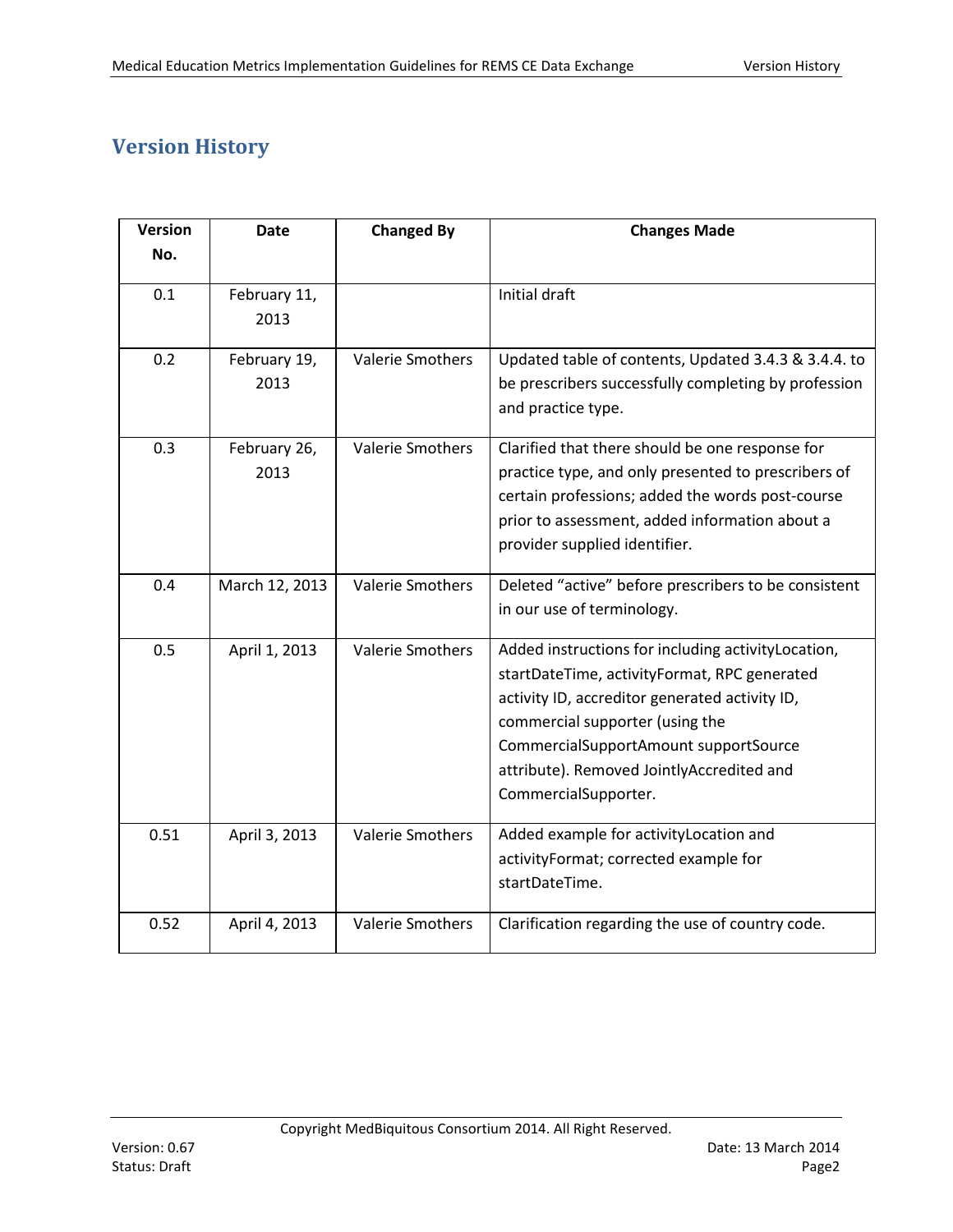# <span id="page-1-0"></span>**Version History**

| <b>Version</b> | <b>Date</b>          | <b>Changed By</b>       | <b>Changes Made</b>                                                                                                                                                                                                                                                                                   |
|----------------|----------------------|-------------------------|-------------------------------------------------------------------------------------------------------------------------------------------------------------------------------------------------------------------------------------------------------------------------------------------------------|
| No.            |                      |                         |                                                                                                                                                                                                                                                                                                       |
| 0.1            | February 11,<br>2013 |                         | Initial draft                                                                                                                                                                                                                                                                                         |
| 0.2            | February 19,<br>2013 | <b>Valerie Smothers</b> | Updated table of contents, Updated 3.4.3 & 3.4.4. to<br>be prescribers successfully completing by profession<br>and practice type.                                                                                                                                                                    |
| 0.3            | February 26,<br>2013 | <b>Valerie Smothers</b> | Clarified that there should be one response for<br>practice type, and only presented to prescribers of<br>certain professions; added the words post-course<br>prior to assessment, added information about a<br>provider supplied identifier.                                                         |
| 0.4            | March 12, 2013       | <b>Valerie Smothers</b> | Deleted "active" before prescribers to be consistent<br>in our use of terminology.                                                                                                                                                                                                                    |
| 0.5            | April 1, 2013        | <b>Valerie Smothers</b> | Added instructions for including activityLocation,<br>startDateTime, activityFormat, RPC generated<br>activity ID, accreditor generated activity ID,<br>commercial supporter (using the<br>CommercialSupportAmount supportSource<br>attribute). Removed JointlyAccredited and<br>CommercialSupporter. |
| 0.51           | April 3, 2013        | <b>Valerie Smothers</b> | Added example for activityLocation and<br>activityFormat; corrected example for<br>startDateTime.                                                                                                                                                                                                     |
| 0.52           | April 4, 2013        | <b>Valerie Smothers</b> | Clarification regarding the use of country code.                                                                                                                                                                                                                                                      |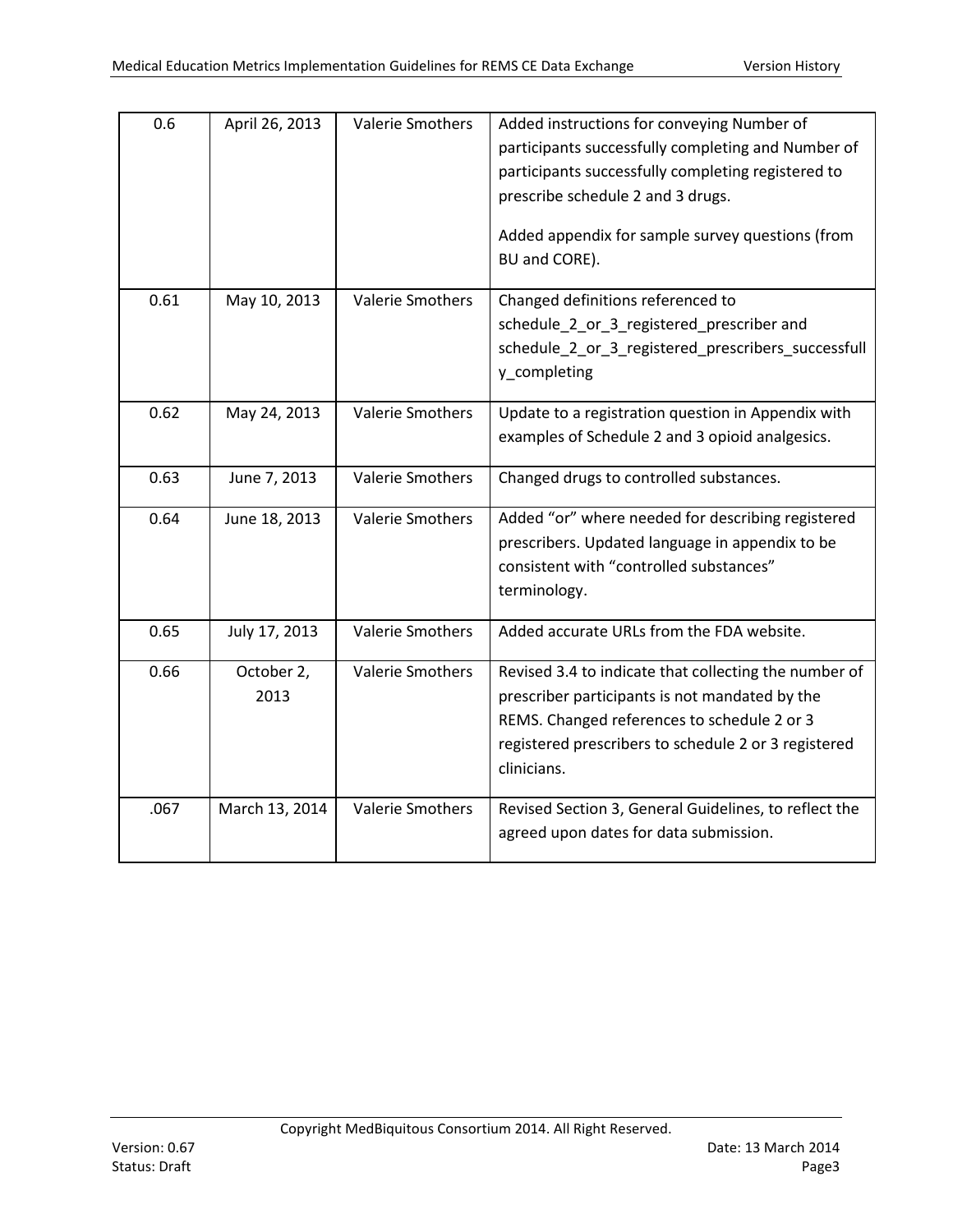| 0.6  | April 26, 2013     | <b>Valerie Smothers</b> | Added instructions for conveying Number of<br>participants successfully completing and Number of<br>participants successfully completing registered to<br>prescribe schedule 2 and 3 drugs.<br>Added appendix for sample survey questions (from<br>BU and CORE). |
|------|--------------------|-------------------------|------------------------------------------------------------------------------------------------------------------------------------------------------------------------------------------------------------------------------------------------------------------|
| 0.61 | May 10, 2013       | <b>Valerie Smothers</b> | Changed definitions referenced to<br>schedule_2_or_3_registered_prescriber and<br>schedule_2_or_3_registered_prescribers_successfull<br>y_completing                                                                                                             |
| 0.62 | May 24, 2013       | Valerie Smothers        | Update to a registration question in Appendix with<br>examples of Schedule 2 and 3 opioid analgesics.                                                                                                                                                            |
| 0.63 | June 7, 2013       | <b>Valerie Smothers</b> | Changed drugs to controlled substances.                                                                                                                                                                                                                          |
| 0.64 | June 18, 2013      | <b>Valerie Smothers</b> | Added "or" where needed for describing registered<br>prescribers. Updated language in appendix to be<br>consistent with "controlled substances"<br>terminology.                                                                                                  |
| 0.65 | July 17, 2013      | <b>Valerie Smothers</b> | Added accurate URLs from the FDA website.                                                                                                                                                                                                                        |
| 0.66 | October 2,<br>2013 | <b>Valerie Smothers</b> | Revised 3.4 to indicate that collecting the number of<br>prescriber participants is not mandated by the<br>REMS. Changed references to schedule 2 or 3<br>registered prescribers to schedule 2 or 3 registered<br>clinicians.                                    |
| .067 | March 13, 2014     | <b>Valerie Smothers</b> | Revised Section 3, General Guidelines, to reflect the<br>agreed upon dates for data submission.                                                                                                                                                                  |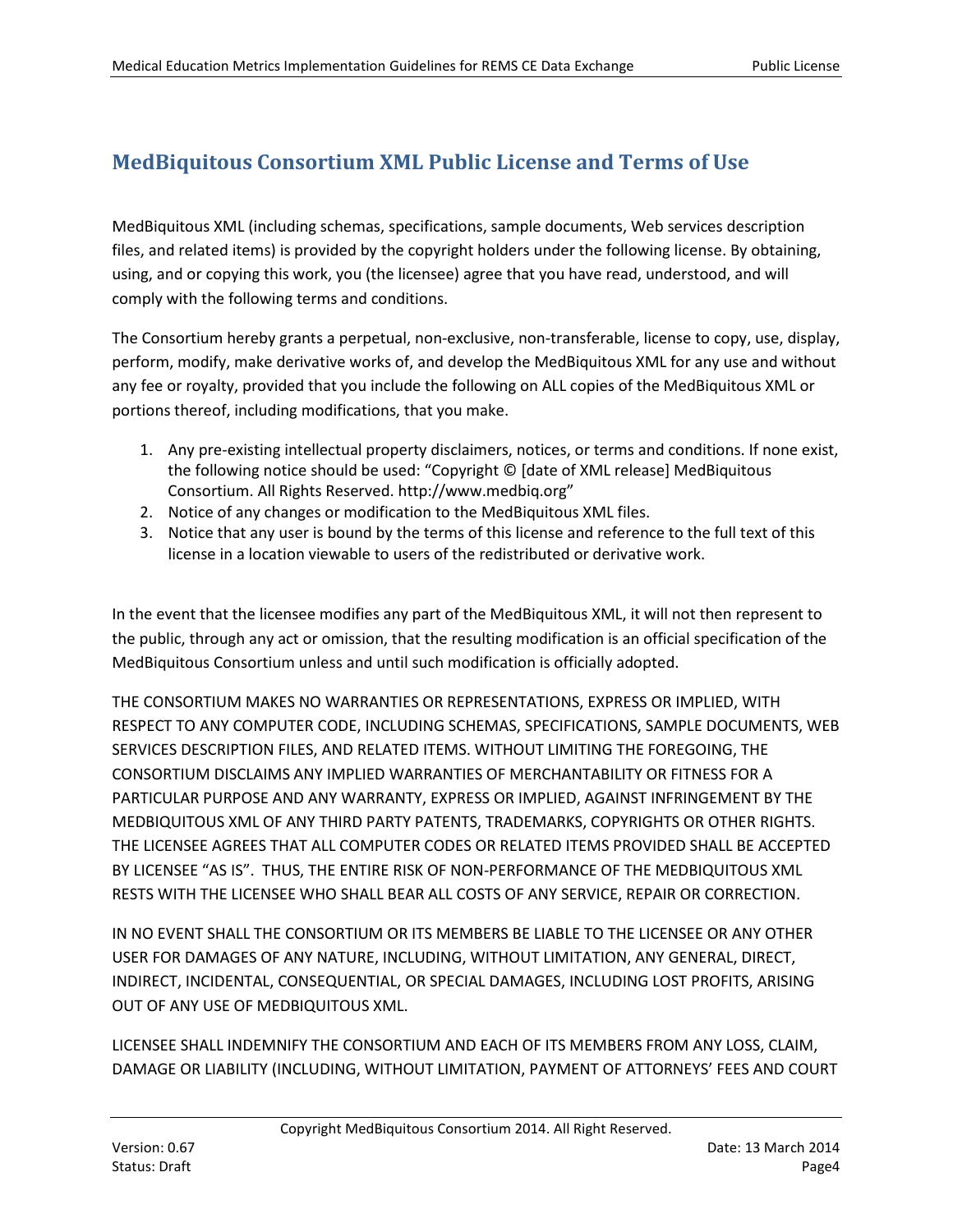# **MedBiquitous Consortium XML Public License and Terms of Use**

MedBiquitous XML (including schemas, specifications, sample documents, Web services description files, and related items) is provided by the copyright holders under the following license. By obtaining, using, and or copying this work, you (the licensee) agree that you have read, understood, and will comply with the following terms and conditions.

The Consortium hereby grants a perpetual, non-exclusive, non-transferable, license to copy, use, display, perform, modify, make derivative works of, and develop the MedBiquitous XML for any use and without any fee or royalty, provided that you include the following on ALL copies of the MedBiquitous XML or portions thereof, including modifications, that you make.

- 1. Any pre-existing intellectual property disclaimers, notices, or terms and conditions. If none exist, the following notice should be used: "Copyright © [date of XML release] MedBiquitous Consortium. All Rights Reserved. http://www.medbiq.org"
- 2. Notice of any changes or modification to the MedBiquitous XML files.
- 3. Notice that any user is bound by the terms of this license and reference to the full text of this license in a location viewable to users of the redistributed or derivative work.

In the event that the licensee modifies any part of the MedBiquitous XML, it will not then represent to the public, through any act or omission, that the resulting modification is an official specification of the MedBiquitous Consortium unless and until such modification is officially adopted.

THE CONSORTIUM MAKES NO WARRANTIES OR REPRESENTATIONS, EXPRESS OR IMPLIED, WITH RESPECT TO ANY COMPUTER CODE, INCLUDING SCHEMAS, SPECIFICATIONS, SAMPLE DOCUMENTS, WEB SERVICES DESCRIPTION FILES, AND RELATED ITEMS. WITHOUT LIMITING THE FOREGOING, THE CONSORTIUM DISCLAIMS ANY IMPLIED WARRANTIES OF MERCHANTABILITY OR FITNESS FOR A PARTICULAR PURPOSE AND ANY WARRANTY, EXPRESS OR IMPLIED, AGAINST INFRINGEMENT BY THE MEDBIQUITOUS XML OF ANY THIRD PARTY PATENTS, TRADEMARKS, COPYRIGHTS OR OTHER RIGHTS. THE LICENSEE AGREES THAT ALL COMPUTER CODES OR RELATED ITEMS PROVIDED SHALL BE ACCEPTED BY LICENSEE "AS IS". THUS, THE ENTIRE RISK OF NON-PERFORMANCE OF THE MEDBIQUITOUS XML RESTS WITH THE LICENSEE WHO SHALL BEAR ALL COSTS OF ANY SERVICE, REPAIR OR CORRECTION.

IN NO EVENT SHALL THE CONSORTIUM OR ITS MEMBERS BE LIABLE TO THE LICENSEE OR ANY OTHER USER FOR DAMAGES OF ANY NATURE, INCLUDING, WITHOUT LIMITATION, ANY GENERAL, DIRECT, INDIRECT, INCIDENTAL, CONSEQUENTIAL, OR SPECIAL DAMAGES, INCLUDING LOST PROFITS, ARISING OUT OF ANY USE OF MEDBIQUITOUS XML.

LICENSEE SHALL INDEMNIFY THE CONSORTIUM AND EACH OF ITS MEMBERS FROM ANY LOSS, CLAIM, DAMAGE OR LIABILITY (INCLUDING, WITHOUT LIMITATION, PAYMENT OF ATTORNEYS' FEES AND COURT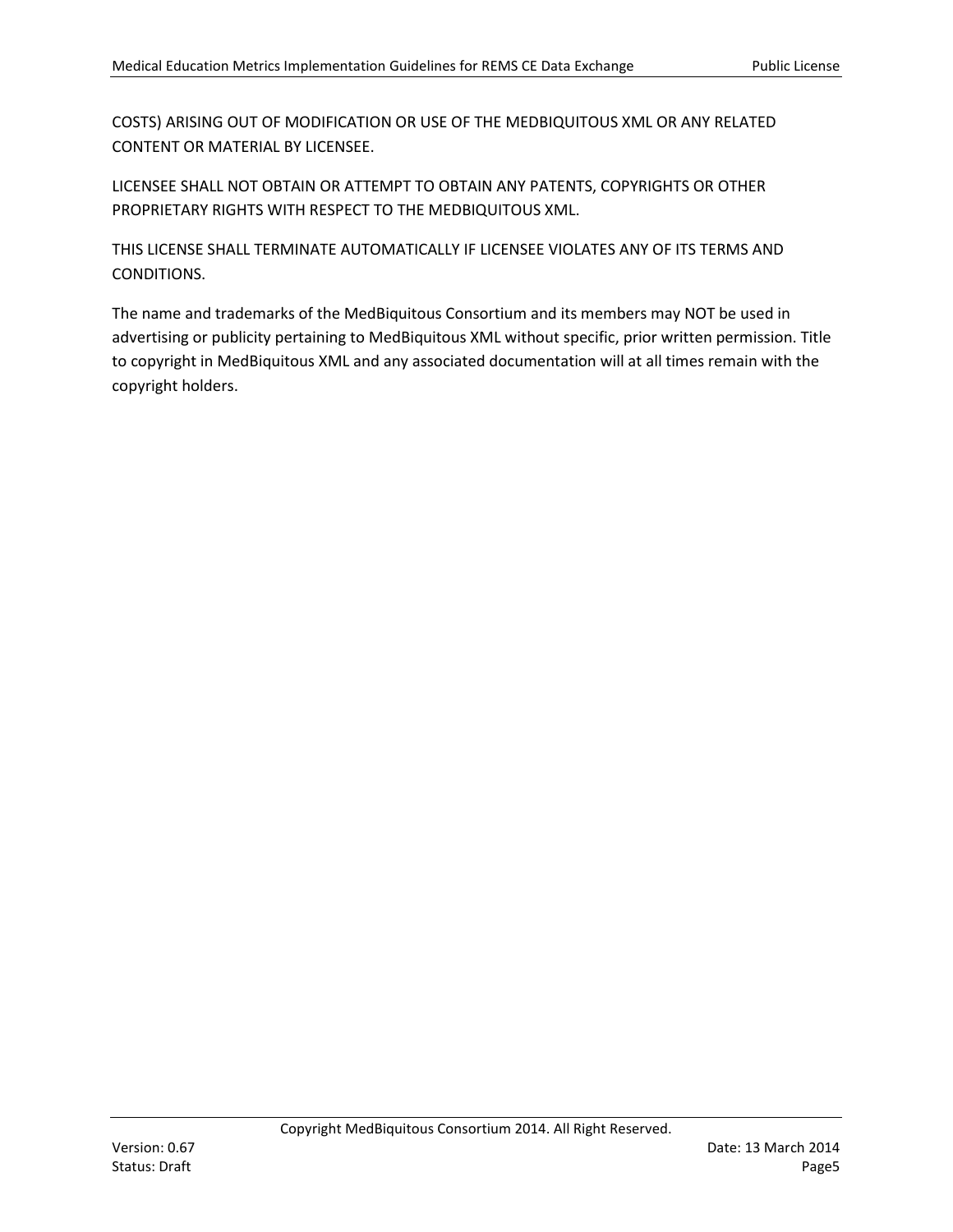COSTS) ARISING OUT OF MODIFICATION OR USE OF THE MEDBIQUITOUS XML OR ANY RELATED CONTENT OR MATERIAL BY LICENSEE.

LICENSEE SHALL NOT OBTAIN OR ATTEMPT TO OBTAIN ANY PATENTS, COPYRIGHTS OR OTHER PROPRIETARY RIGHTS WITH RESPECT TO THE MEDBIQUITOUS XML.

THIS LICENSE SHALL TERMINATE AUTOMATICALLY IF LICENSEE VIOLATES ANY OF ITS TERMS AND CONDITIONS.

The name and trademarks of the MedBiquitous Consortium and its members may NOT be used in advertising or publicity pertaining to MedBiquitous XML without specific, prior written permission. Title to copyright in MedBiquitous XML and any associated documentation will at all times remain with the copyright holders.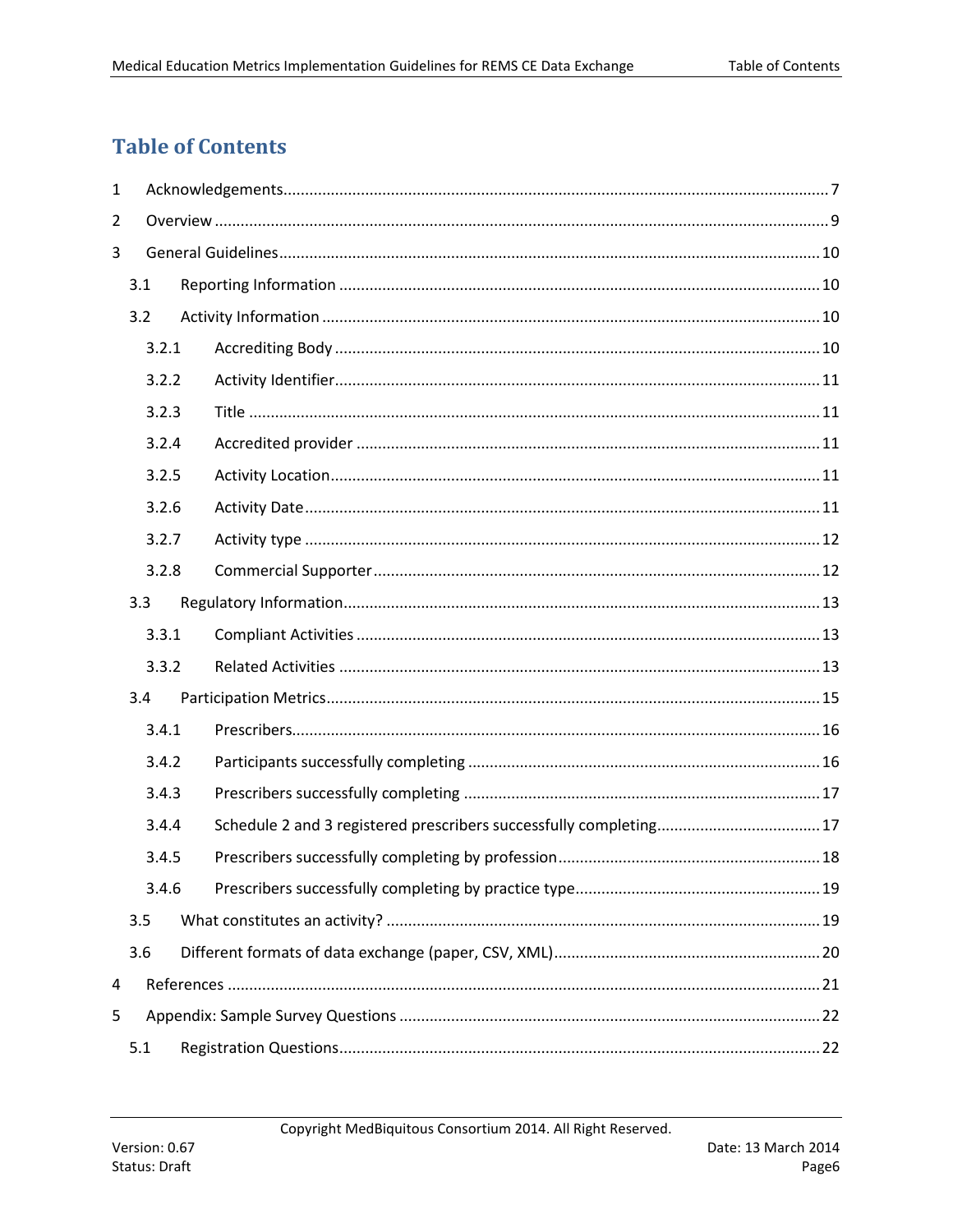# <span id="page-5-0"></span>**Table of Contents**

| $\mathbf{1}$   |       |       |  |  |  |  |  |  |
|----------------|-------|-------|--|--|--|--|--|--|
| $\overline{2}$ |       |       |  |  |  |  |  |  |
| 3              |       |       |  |  |  |  |  |  |
|                | 3.1   |       |  |  |  |  |  |  |
|                | 3.2   |       |  |  |  |  |  |  |
|                |       | 3.2.1 |  |  |  |  |  |  |
|                | 3.2.2 |       |  |  |  |  |  |  |
|                |       | 3.2.3 |  |  |  |  |  |  |
|                |       | 3.2.4 |  |  |  |  |  |  |
|                |       | 3.2.5 |  |  |  |  |  |  |
|                |       | 3.2.6 |  |  |  |  |  |  |
|                |       | 3.2.7 |  |  |  |  |  |  |
|                |       | 3.2.8 |  |  |  |  |  |  |
|                | 3.3   |       |  |  |  |  |  |  |
|                |       | 3.3.1 |  |  |  |  |  |  |
|                |       | 3.3.2 |  |  |  |  |  |  |
|                | 3.4   |       |  |  |  |  |  |  |
|                |       | 3.4.1 |  |  |  |  |  |  |
|                |       | 3.4.2 |  |  |  |  |  |  |
|                |       | 3.4.3 |  |  |  |  |  |  |
|                |       | 3.4.4 |  |  |  |  |  |  |
|                |       | 3.4.5 |  |  |  |  |  |  |
|                |       | 3.4.6 |  |  |  |  |  |  |
|                | 3.5   |       |  |  |  |  |  |  |
|                | 3.6   |       |  |  |  |  |  |  |
| 4              |       |       |  |  |  |  |  |  |
| 5              |       |       |  |  |  |  |  |  |
|                | 5.1   |       |  |  |  |  |  |  |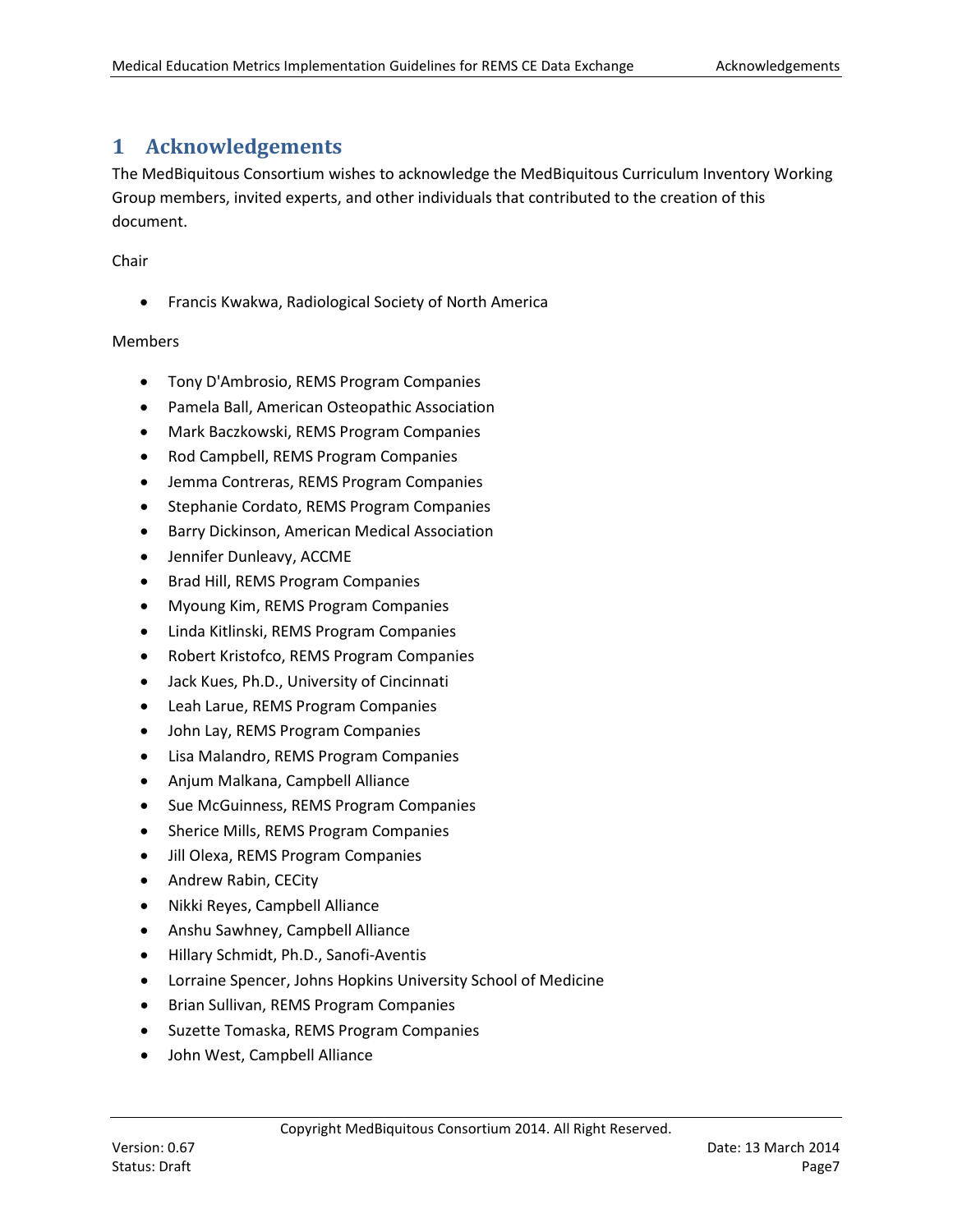# <span id="page-6-0"></span>**1 Acknowledgements**

The MedBiquitous Consortium wishes to acknowledge the MedBiquitous Curriculum Inventory Working Group members, invited experts, and other individuals that contributed to the creation of this document.

Chair

• Francis Kwakwa, Radiological Society of North America

#### Members

- Tony D'Ambrosio, REMS Program Companies
- Pamela Ball, American Osteopathic Association
- Mark Baczkowski, REMS Program Companies
- Rod Campbell, REMS Program Companies
- Jemma Contreras, REMS Program Companies
- Stephanie Cordato, REMS Program Companies
- Barry Dickinson, American Medical Association
- Jennifer Dunleavy, ACCME
- Brad Hill, REMS Program Companies
- Myoung Kim, REMS Program Companies
- Linda Kitlinski, REMS Program Companies
- Robert Kristofco, REMS Program Companies
- Jack Kues, Ph.D., University of Cincinnati
- Leah Larue, REMS Program Companies
- John Lay, REMS Program Companies
- Lisa Malandro, REMS Program Companies
- Anjum Malkana, Campbell Alliance
- Sue McGuinness, REMS Program Companies
- Sherice Mills, REMS Program Companies
- Jill Olexa, REMS Program Companies
- Andrew Rabin, CECity
- Nikki Reyes, Campbell Alliance
- Anshu Sawhney, Campbell Alliance
- Hillary Schmidt, Ph.D., Sanofi-Aventis
- Lorraine Spencer, Johns Hopkins University School of Medicine
- Brian Sullivan, REMS Program Companies
- Suzette Tomaska, REMS Program Companies
- John West, Campbell Alliance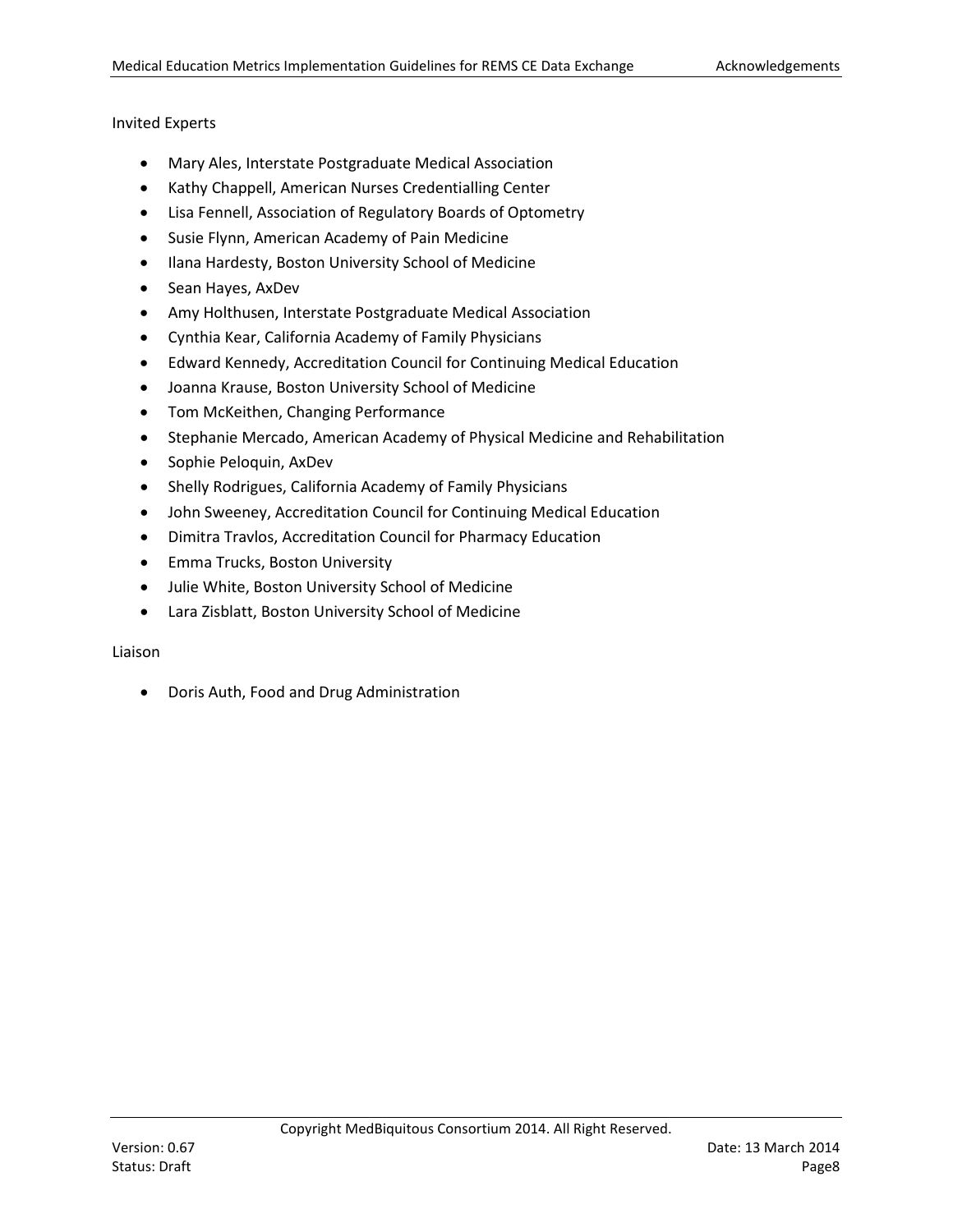#### Invited Experts

- Mary Ales, Interstate Postgraduate Medical Association
- Kathy Chappell, American Nurses Credentialling Center
- Lisa Fennell, Association of Regulatory Boards of Optometry
- Susie Flynn, American Academy of Pain Medicine
- Ilana Hardesty, Boston University School of Medicine
- Sean Hayes, AxDev
- Amy Holthusen, Interstate Postgraduate Medical Association
- Cynthia Kear, California Academy of Family Physicians
- Edward Kennedy, Accreditation Council for Continuing Medical Education
- Joanna Krause, Boston University School of Medicine
- Tom McKeithen, Changing Performance
- Stephanie Mercado, American Academy of Physical Medicine and Rehabilitation
- Sophie Peloquin, AxDev
- Shelly Rodrigues, California Academy of Family Physicians
- John Sweeney, Accreditation Council for Continuing Medical Education
- Dimitra Travlos, Accreditation Council for Pharmacy Education
- Emma Trucks, Boston University
- Julie White, Boston University School of Medicine
- Lara Zisblatt, Boston University School of Medicine

#### Liaison

• Doris Auth, Food and Drug Administration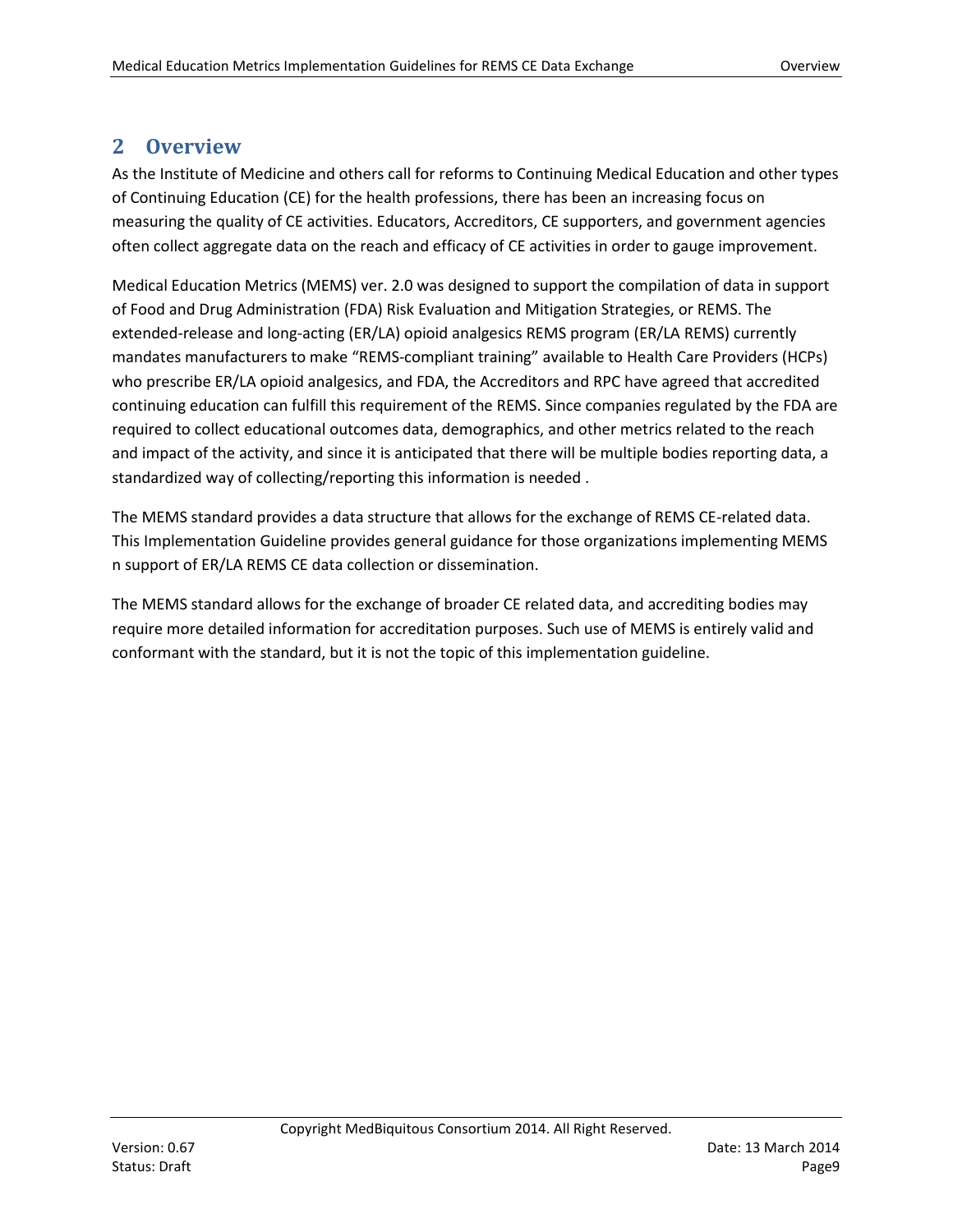# <span id="page-8-0"></span>**2 Overview**

As the Institute of Medicine and others call for reforms to Continuing Medical Education and other types of Continuing Education (CE) for the health professions, there has been an increasing focus on measuring the quality of CE activities. Educators, Accreditors, CE supporters, and government agencies often collect aggregate data on the reach and efficacy of CE activities in order to gauge improvement.

Medical Education Metrics (MEMS) ver. 2.0 was designed to support the compilation of data in support of Food and Drug Administration (FDA) Risk Evaluation and Mitigation Strategies, or REMS. The extended-release and long-acting (ER/LA) opioid analgesics REMS program (ER/LA REMS) currently mandates manufacturers to make "REMS-compliant training" available to Health Care Providers (HCPs) who prescribe ER/LA opioid analgesics, and FDA, the Accreditors and RPC have agreed that accredited continuing education can fulfill this requirement of the REMS. Since companies regulated by the FDA are required to collect educational outcomes data, demographics, and other metrics related to the reach and impact of the activity, and since it is anticipated that there will be multiple bodies reporting data, a standardized way of collecting/reporting this information is needed .

The MEMS standard provides a data structure that allows for the exchange of REMS CE-related data. This Implementation Guideline provides general guidance for those organizations implementing MEMS n support of ER/LA REMS CE data collection or dissemination.

The MEMS standard allows for the exchange of broader CE related data, and accrediting bodies may require more detailed information for accreditation purposes. Such use of MEMS is entirely valid and conformant with the standard, but it is not the topic of this implementation guideline.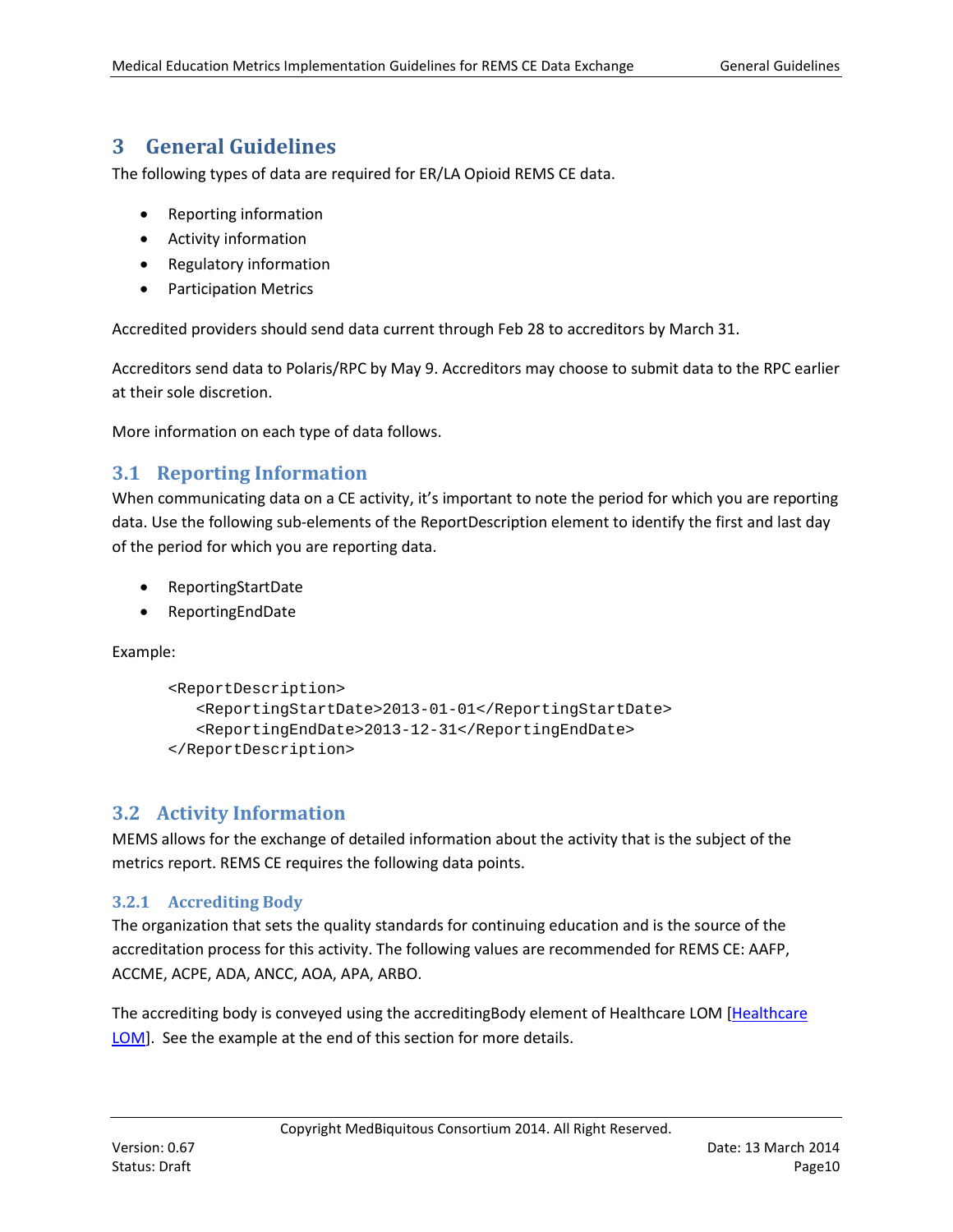# <span id="page-9-0"></span>**3 General Guidelines**

The following types of data are required for ER/LA Opioid REMS CE data.

- Reporting information
- Activity information
- Regulatory information
- Participation Metrics

Accredited providers should send data current through Feb 28 to accreditors by March 31.

Accreditors send data to Polaris/RPC by May 9. Accreditors may choose to submit data to the RPC earlier at their sole discretion.

More information on each type of data follows.

# <span id="page-9-1"></span>**3.1 Reporting Information**

When communicating data on a CE activity, it's important to note the period for which you are reporting data. Use the following sub-elements of the ReportDescription element to identify the first and last day of the period for which you are reporting data.

- ReportingStartDate
- ReportingEndDate

Example:

```
<ReportDescription>
  <ReportingStartDate>2013-01-01</ReportingStartDate>
   <ReportingEndDate>2013-12-31</ReportingEndDate>
</ReportDescription>
```
# <span id="page-9-2"></span>**3.2 Activity Information**

MEMS allows for the exchange of detailed information about the activity that is the subject of the metrics report. REMS CE requires the following data points.

## <span id="page-9-3"></span>**3.2.1 Accrediting Body**

The organization that sets the quality standards for continuing education and is the source of the accreditation process for this activity. The following values are recommended for REMS CE: AAFP, ACCME, ACPE, ADA, ANCC, AOA, APA, ARBO.

The accrediting body is conveyed using the accreditingBody element of Healthcare LOM [\[Healthcare](#page-20-1)  [LOM\]](#page-20-1). See the example at the end of this section for more details.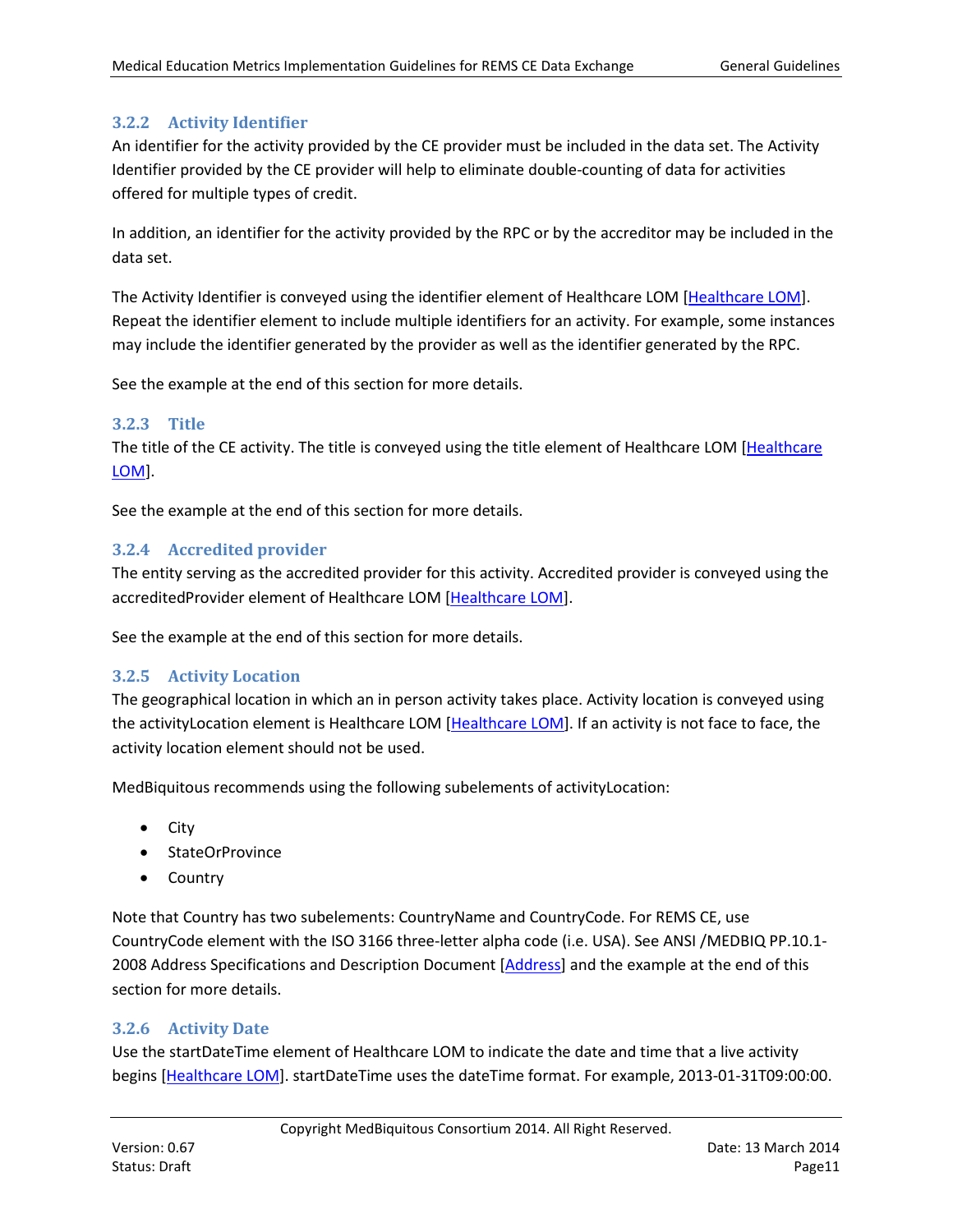## <span id="page-10-0"></span>**3.2.2 Activity Identifier**

An identifier for the activity provided by the CE provider must be included in the data set. The Activity Identifier provided by the CE provider will help to eliminate double-counting of data for activities offered for multiple types of credit.

In addition, an identifier for the activity provided by the RPC or by the accreditor may be included in the data set.

The Activity Identifier is conveyed using the identifier element of Healthcare LOM [\[Healthcare LOM\]](#page-20-1). Repeat the identifier element to include multiple identifiers for an activity. For example, some instances may include the identifier generated by the provider as well as the identifier generated by the RPC.

See the example at the end of this section for more details.

#### <span id="page-10-1"></span>**3.2.3 Title**

The title of the CE activity. The title is conveyed using the title element of Healthcare LOM [\[Healthcare](#page-20-1)  [LOM\]](#page-20-1).

See the example at the end of this section for more details.

#### <span id="page-10-2"></span>**3.2.4 Accredited provider**

The entity serving as the accredited provider for this activity. Accredited provider is conveyed using the accreditedProvider element of Healthcare LOM [\[Healthcare LOM\]](#page-20-1).

See the example at the end of this section for more details.

#### <span id="page-10-3"></span>**3.2.5 Activity Location**

The geographical location in which an in person activity takes place. Activity location is conveyed using the activityLocation element is Healthcare LOM [\[Healthcare LOM\]](#page-20-1). If an activity is not face to face, the activity location element should not be used.

MedBiquitous recommends using the following subelements of activityLocation:

- City
- StateOrProvince
- Country

Note that Country has two subelements: CountryName and CountryCode. For REMS CE, use CountryCode element with the ISO 3166 three-letter alpha code (i.e. USA). See ANSI /MEDBIQ PP.10.1- 2008 Address Specifications and Description Document [\[Address\]](#page-20-2) and the example at the end of this section for more details.

#### <span id="page-10-4"></span>**3.2.6 Activity Date**

Use the startDateTime element of Healthcare LOM to indicate the date and time that a live activity begins [\[Healthcare LOM\]](#page-20-1). startDateTime uses the dateTime format. For example, 2013-01-31T09:00:00.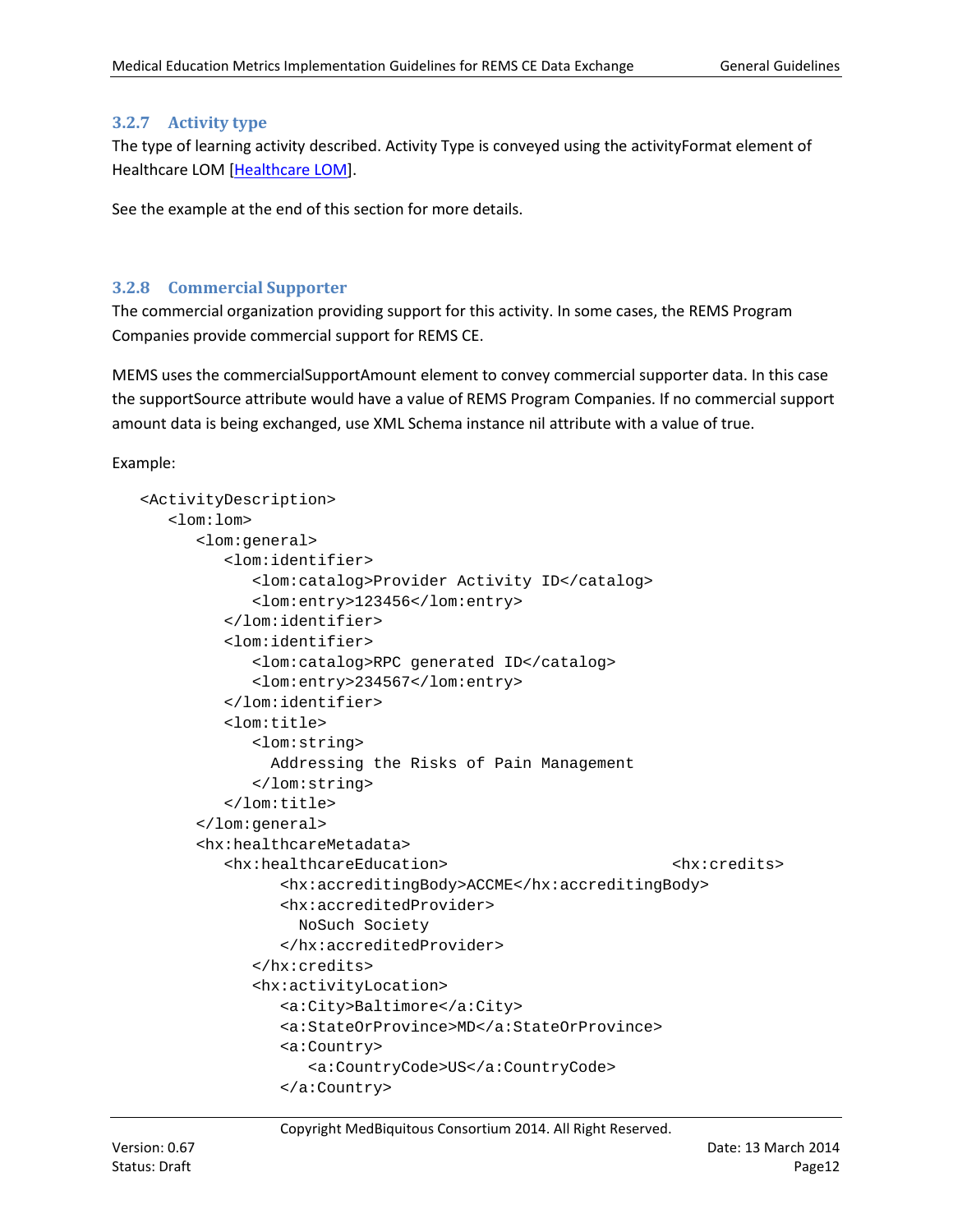## <span id="page-11-0"></span>**3.2.7 Activity type**

The type of learning activity described. Activity Type is conveyed using the activityFormat element of Healthcare LOM [\[Healthcare LOM\]](#page-20-1).

See the example at the end of this section for more details.

#### <span id="page-11-1"></span>**3.2.8 Commercial Supporter**

The commercial organization providing support for this activity. In some cases, the REMS Program Companies provide commercial support for REMS CE.

MEMS uses the commercialSupportAmount element to convey commercial supporter data. In this case the supportSource attribute would have a value of REMS Program Companies. If no commercial support amount data is being exchanged, use XML Schema instance nil attribute with a value of true.

Example:

```
<ActivityDescription>
   <lom:lom>
      <lom:general>
         <lom:identifier>
            <lom:catalog>Provider Activity ID</catalog>
            <lom:entry>123456</lom:entry>
         </lom:identifier>
         <lom:identifier>
            <lom:catalog>RPC generated ID</catalog>
            <lom:entry>234567</lom:entry>
         </lom:identifier>
         <lom:title>
            <lom:string>
               Addressing the Risks of Pain Management
            </lom:string>
         </lom:title>
      </lom:general>
      <hx:healthcareMetadata>
         <hx:healthcareEducation> <hx:credits>
               <hx:accreditingBody>ACCME</hx:accreditingBody>
               <hx:accreditedProvider>
                 NoSuch Society
               </hx:accreditedProvider>
            </hx:credits>
            <hx:activityLocation>
               <a:City>Baltimore</a:City>
               <a:StateOrProvince>MD</a:StateOrProvince>
               <a:Country>
                  <a:CountryCode>US</a:CountryCode>
               </a:Country>
```
Copyright MedBiquitous Consortium 2014. All Right Reserved.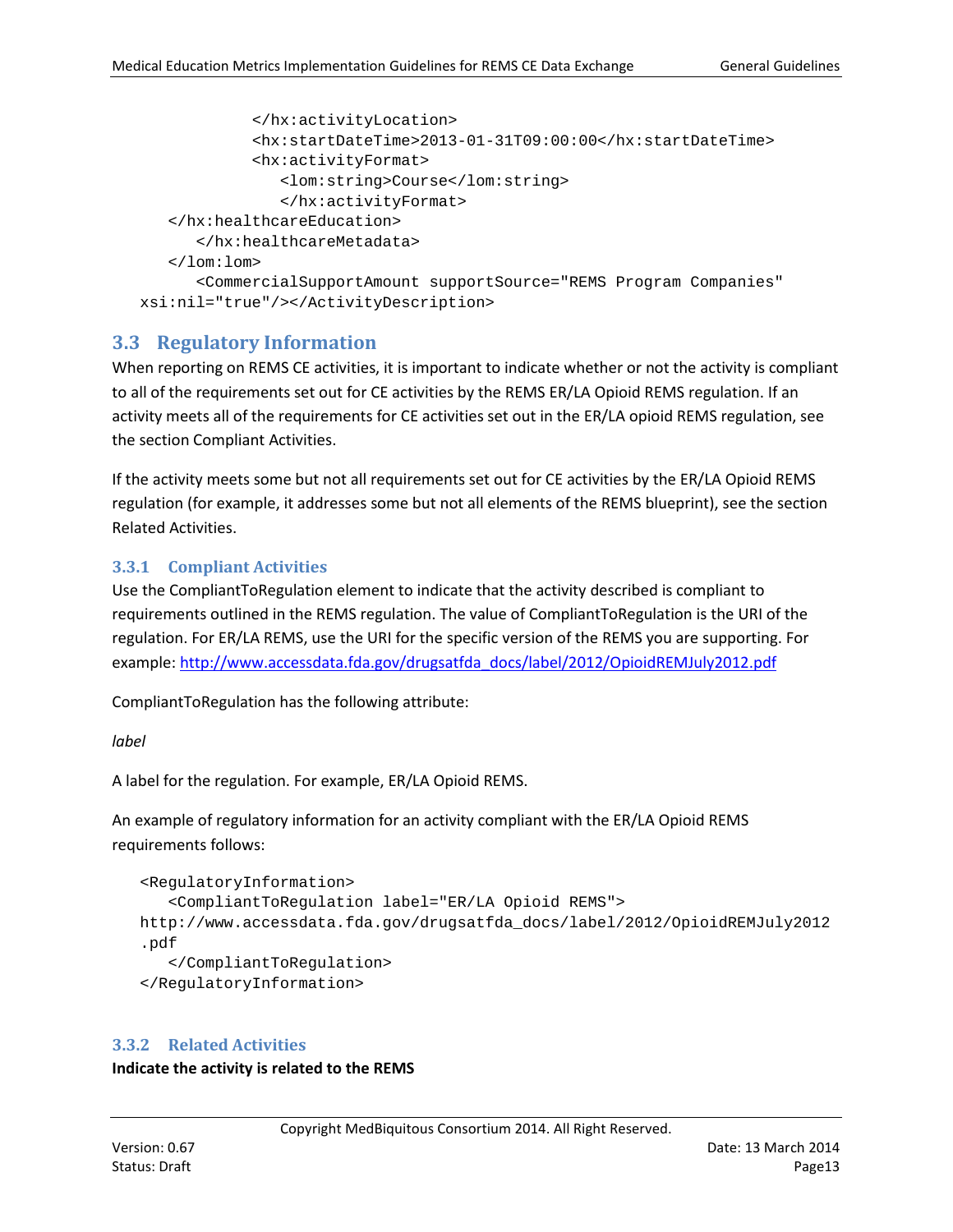```
</hx:activityLocation>
            <hx:startDateTime>2013-01-31T09:00:00</hx:startDateTime>
            <hx:activityFormat>
               <lom:string>Course</lom:string>
               </hx:activityFormat>
   </hx:healthcareEducation>
      </hx:healthcareMetadata>
   </lom:lom>
      <CommercialSupportAmount supportSource="REMS Program Companies" 
xsi:nil="true"/></ActivityDescription>
```
# <span id="page-12-0"></span>**3.3 Regulatory Information**

When reporting on REMS CE activities, it is important to indicate whether or not the activity is compliant to all of the requirements set out for CE activities by the REMS ER/LA Opioid REMS regulation. If an activity meets all of the requirements for CE activities set out in the ER/LA opioid REMS regulation, see the section Compliant Activities.

If the activity meets some but not all requirements set out for CE activities by the ER/LA Opioid REMS regulation (for example, it addresses some but not all elements of the REMS blueprint), see the section Related Activities.

## <span id="page-12-1"></span>**3.3.1 Compliant Activities**

Use the CompliantToRegulation element to indicate that the activity described is compliant to requirements outlined in the REMS regulation. The value of CompliantToRegulation is the URI of the regulation. For ER/LA REMS, use the URI for the specific version of the REMS you are supporting. For example[: http://www.accessdata.fda.gov/drugsatfda\\_docs/label/2012/OpioidREMJuly2012.pdf](http://www.accessdata.fda.gov/drugsatfda_docs/label/2012/OpioidREMJuly2012.pdf)

CompliantToRegulation has the following attribute:

#### *label*

A label for the regulation. For example, ER/LA Opioid REMS.

An example of regulatory information for an activity compliant with the ER/LA Opioid REMS requirements follows:

```
<RegulatoryInformation>
   <CompliantToRegulation label="ER/LA Opioid REMS">
http://www.accessdata.fda.gov/drugsatfda_docs/label/2012/OpioidREMJuly2012
.pdf
   </CompliantToRegulation>
</RegulatoryInformation>
```
## <span id="page-12-2"></span>**3.3.2 Related Activities**

**Indicate the activity is related to the REMS**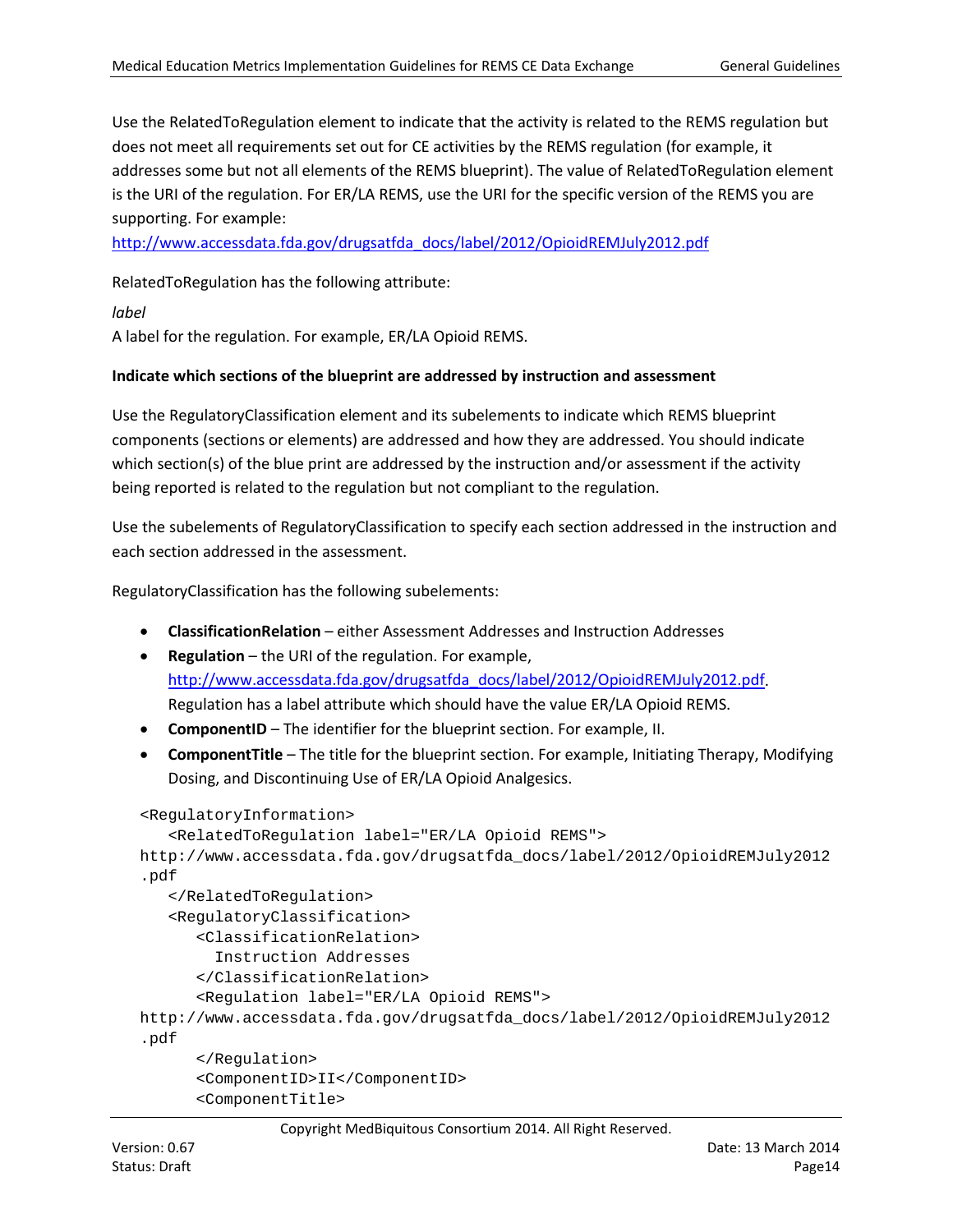Use the RelatedToRegulation element to indicate that the activity is related to the REMS regulation but does not meet all requirements set out for CE activities by the REMS regulation (for example, it addresses some but not all elements of the REMS blueprint). The value of RelatedToRegulation element is the URI of the regulation. For ER/LA REMS, use the URI for the specific version of the REMS you are supporting. For example:

[http://www.accessdata.fda.gov/drugsatfda\\_docs/label/2012/OpioidREMJuly2012.pdf](http://www.accessdata.fda.gov/drugsatfda_docs/label/2012/OpioidREMJuly2012.pdf)

RelatedToRegulation has the following attribute:

*label*

A label for the regulation. For example, ER/LA Opioid REMS.

#### **Indicate which sections of the blueprint are addressed by instruction and assessment**

Use the RegulatoryClassification element and its subelements to indicate which REMS blueprint components (sections or elements) are addressed and how they are addressed. You should indicate which section(s) of the blue print are addressed by the instruction and/or assessment if the activity being reported is related to the regulation but not compliant to the regulation.

Use the subelements of RegulatoryClassification to specify each section addressed in the instruction and each section addressed in the assessment.

RegulatoryClassification has the following subelements:

- **ClassificationRelation** either Assessment Addresses and Instruction Addresses
- **Regulation** the URI of the regulation. For example, [http://www.accessdata.fda.gov/drugsatfda\\_docs/label/2012/OpioidREMJuly2012.pdf.](http://www.accessdata.fda.gov/drugsatfda_docs/label/2012/OpioidREMJuly2012.pdf) Regulation has a label attribute which should have the value ER/LA Opioid REMS.
- **ComponentID** The identifier for the blueprint section. For example, II.
- **ComponentTitle** The title for the blueprint section. For example, Initiating Therapy, Modifying Dosing, and Discontinuing Use of ER/LA Opioid Analgesics.

```
<RegulatoryInformation>
```

```
<RelatedToRegulation label="ER/LA Opioid REMS">
http://www.accessdata.fda.gov/drugsatfda_docs/label/2012/OpioidREMJuly2012
.pdf
   </RelatedToRegulation>
   <RegulatoryClassification>
      <ClassificationRelation>
         Instruction Addresses
      </ClassificationRelation>
      <Regulation label="ER/LA Opioid REMS">
http://www.accessdata.fda.gov/drugsatfda_docs/label/2012/OpioidREMJuly2012
.pdf
      </Regulation>
      <ComponentID>II</ComponentID>
      <ComponentTitle>
```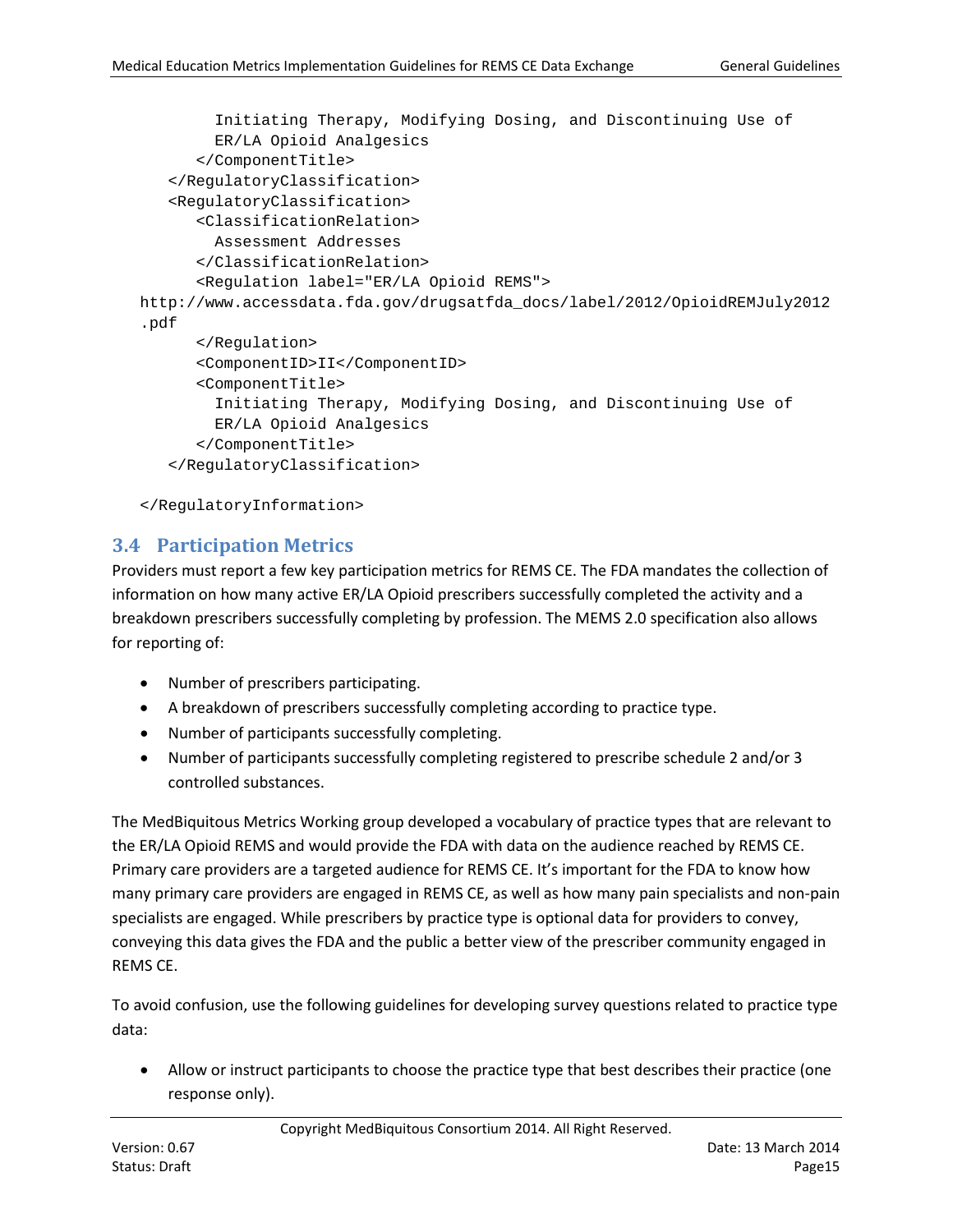```
 Initiating Therapy, Modifying Dosing, and Discontinuing Use of 
         ER/LA Opioid Analgesics
      </ComponentTitle>
   </RegulatoryClassification>
   <RegulatoryClassification>
      <ClassificationRelation>
         Assessment Addresses
      </ClassificationRelation>
      <Regulation label="ER/LA Opioid REMS">
http://www.accessdata.fda.gov/drugsatfda_docs/label/2012/OpioidREMJuly2012
.pdf
      </Regulation>
      <ComponentID>II</ComponentID>
      <ComponentTitle>
         Initiating Therapy, Modifying Dosing, and Discontinuing Use of 
         ER/LA Opioid Analgesics
      </ComponentTitle>
   </RegulatoryClassification>
```

```
</RegulatoryInformation>
```
# <span id="page-14-0"></span>**3.4 Participation Metrics**

Providers must report a few key participation metrics for REMS CE. The FDA mandates the collection of information on how many active ER/LA Opioid prescribers successfully completed the activity and a breakdown prescribers successfully completing by profession. The MEMS 2.0 specification also allows for reporting of:

- Number of prescribers participating.
- A breakdown of prescribers successfully completing according to practice type.
- Number of participants successfully completing.
- Number of participants successfully completing registered to prescribe schedule 2 and/or 3 controlled substances.

The MedBiquitous Metrics Working group developed a vocabulary of practice types that are relevant to the ER/LA Opioid REMS and would provide the FDA with data on the audience reached by REMS CE. Primary care providers are a targeted audience for REMS CE. It's important for the FDA to know how many primary care providers are engaged in REMS CE, as well as how many pain specialists and non-pain specialists are engaged. While prescribers by practice type is optional data for providers to convey, conveying this data gives the FDA and the public a better view of the prescriber community engaged in REMS CE.

To avoid confusion, use the following guidelines for developing survey questions related to practice type data:

• Allow or instruct participants to choose the practice type that best describes their practice (one response only).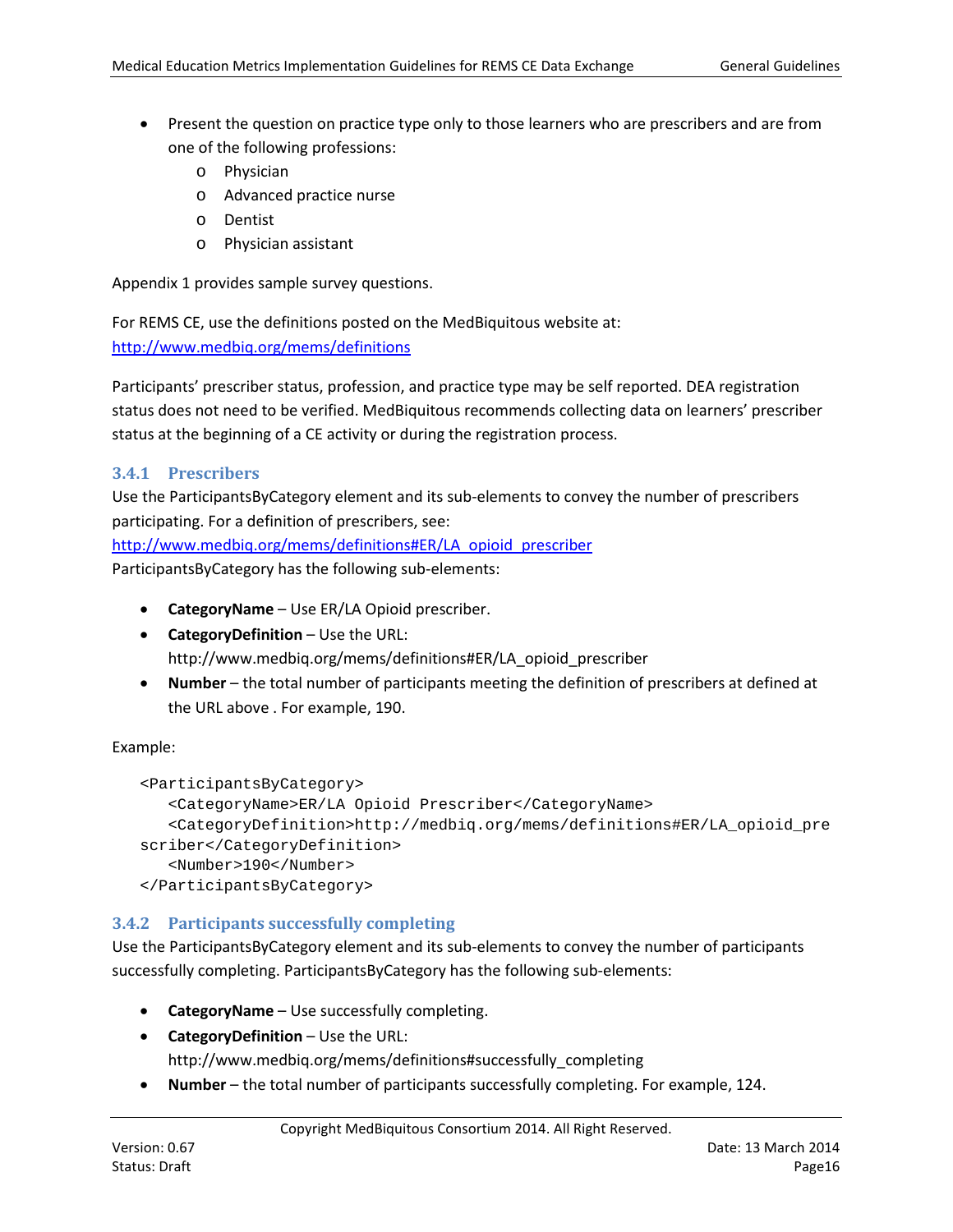- Present the question on practice type only to those learners who are prescribers and are from one of the following professions:
	- o Physician
	- o Advanced practice nurse
	- o Dentist
	- o Physician assistant

Appendix 1 provides sample survey questions.

For REMS CE, use the definitions posted on the MedBiquitous website at: <http://www.medbiq.org/mems/definitions>

Participants' prescriber status, profession, and practice type may be self reported. DEA registration status does not need to be verified. MedBiquitous recommends collecting data on learners' prescriber status at the beginning of a CE activity or during the registration process.

# <span id="page-15-0"></span>**3.4.1 Prescribers**

Use the ParticipantsByCategory element and its sub-elements to convey the number of prescribers participating. For a definition of prescribers, see:

[http://www.medbiq.org/mems/definitions#ER/LA\\_opioid\\_prescriber](http://www.medbiq.org/mems/definitions#ER/LA_opioid_prescriber)

ParticipantsByCategory has the following sub-elements:

- **CategoryName** Use ER/LA Opioid prescriber.
- **CategoryDefinition** Use the URL: http://www.medbiq.org/mems/definitions#ER/LA\_opioid\_prescriber
- **Number** the total number of participants meeting the definition of prescribers at defined at the URL above . For example, 190.

## Example:

```
<ParticipantsByCategory>
   <CategoryName>ER/LA Opioid Prescriber</CategoryName>
   <CategoryDefinition>http://medbiq.org/mems/definitions#ER/LA_opioid_pre
scriber</CategoryDefinition>
   <Number>190</Number>
</ParticipantsByCategory>
```
## <span id="page-15-1"></span>**3.4.2 Participants successfully completing**

Use the ParticipantsByCategory element and its sub-elements to convey the number of participants successfully completing. ParticipantsByCategory has the following sub-elements:

- **CategoryName** Use successfully completing.
- **CategoryDefinition** Use the URL:

http://www.medbiq.org/mems/definitions#successfully\_completing

• **Number** – the total number of participants successfully completing. For example, 124.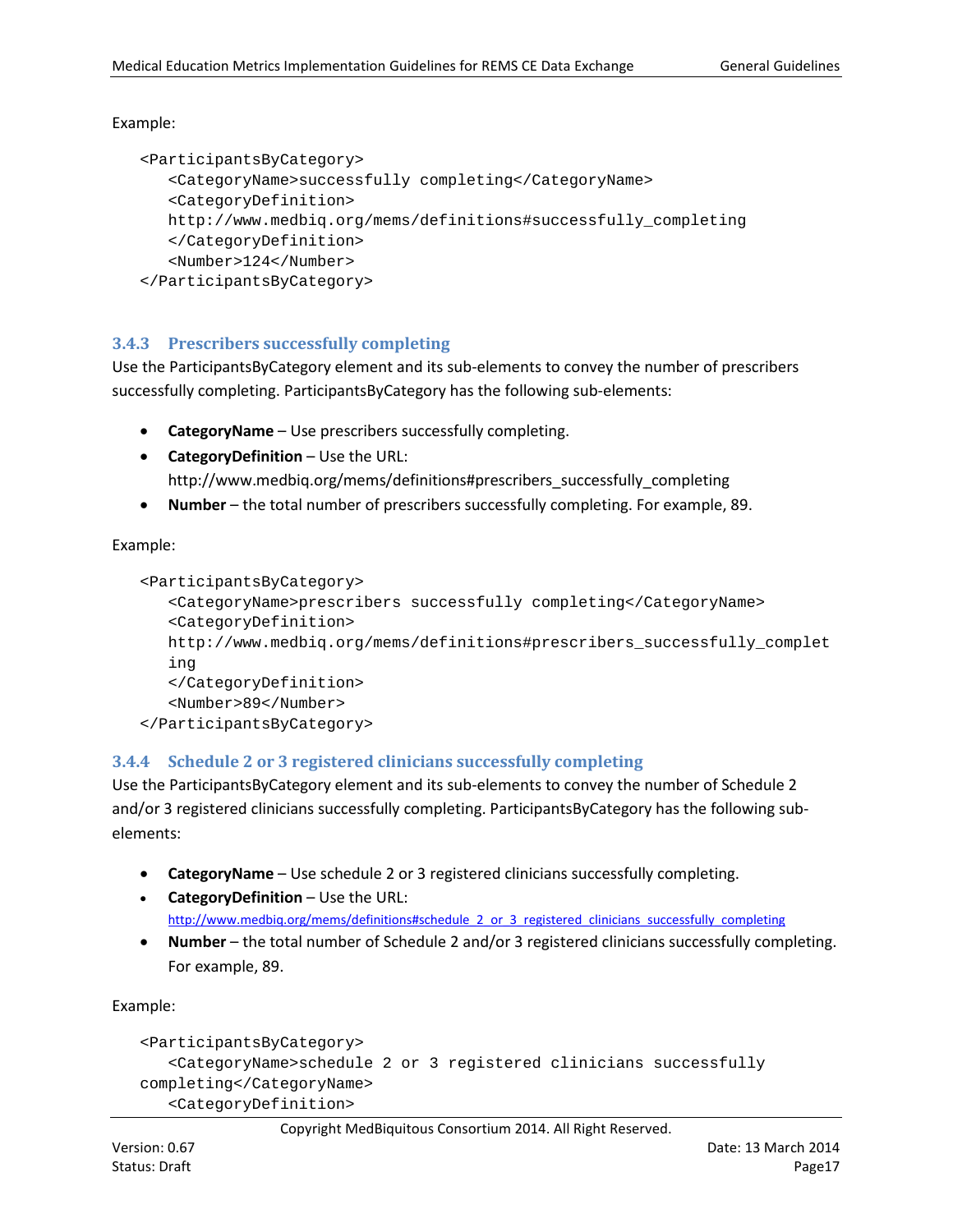#### Example:

```
<ParticipantsByCategory>
  <CategoryName>successfully completing</CategoryName>
  <CategoryDefinition>
  http://www.medbiq.org/mems/definitions#successfully_completing
  </CategoryDefinition>
   <Number>124</Number>
</ParticipantsByCategory>
```
## <span id="page-16-0"></span>**3.4.3 Prescribers successfully completing**

Use the ParticipantsByCategory element and its sub-elements to convey the number of prescribers successfully completing. ParticipantsByCategory has the following sub-elements:

- **CategoryName** Use prescribers successfully completing.
- **CategoryDefinition** Use the URL: http://www.medbiq.org/mems/definitions#prescribers\_successfully\_completing
- **Number** the total number of prescribers successfully completing. For example, 89.

Example:

```
<ParticipantsByCategory>
  <CategoryName>prescribers successfully completing</CategoryName>
  <CategoryDefinition>
  http://www.medbiq.org/mems/definitions#prescribers_successfully_complet
  ing
  </CategoryDefinition>
  <Number>89</Number>
</ParticipantsByCategory>
```
#### <span id="page-16-1"></span>**3.4.4 Schedule 2 or 3 registered clinicians successfully completing**

Use the ParticipantsByCategory element and its sub-elements to convey the number of Schedule 2 and/or 3 registered clinicians successfully completing. ParticipantsByCategory has the following subelements:

- **CategoryName** Use schedule 2 or 3 registered clinicians successfully completing.
- **CategoryDefinition** Use the URL: http://www.medbiq.org/mems/definitions#schedule 2 or 3 registered clinicians successfully completing
- **Number** the total number of Schedule 2 and/or 3 registered clinicians successfully completing. For example, 89.

Example:

```
<ParticipantsByCategory>
   <CategoryName>schedule 2 or 3 registered clinicians successfully 
completing</CategoryName>
   <CategoryDefinition>
```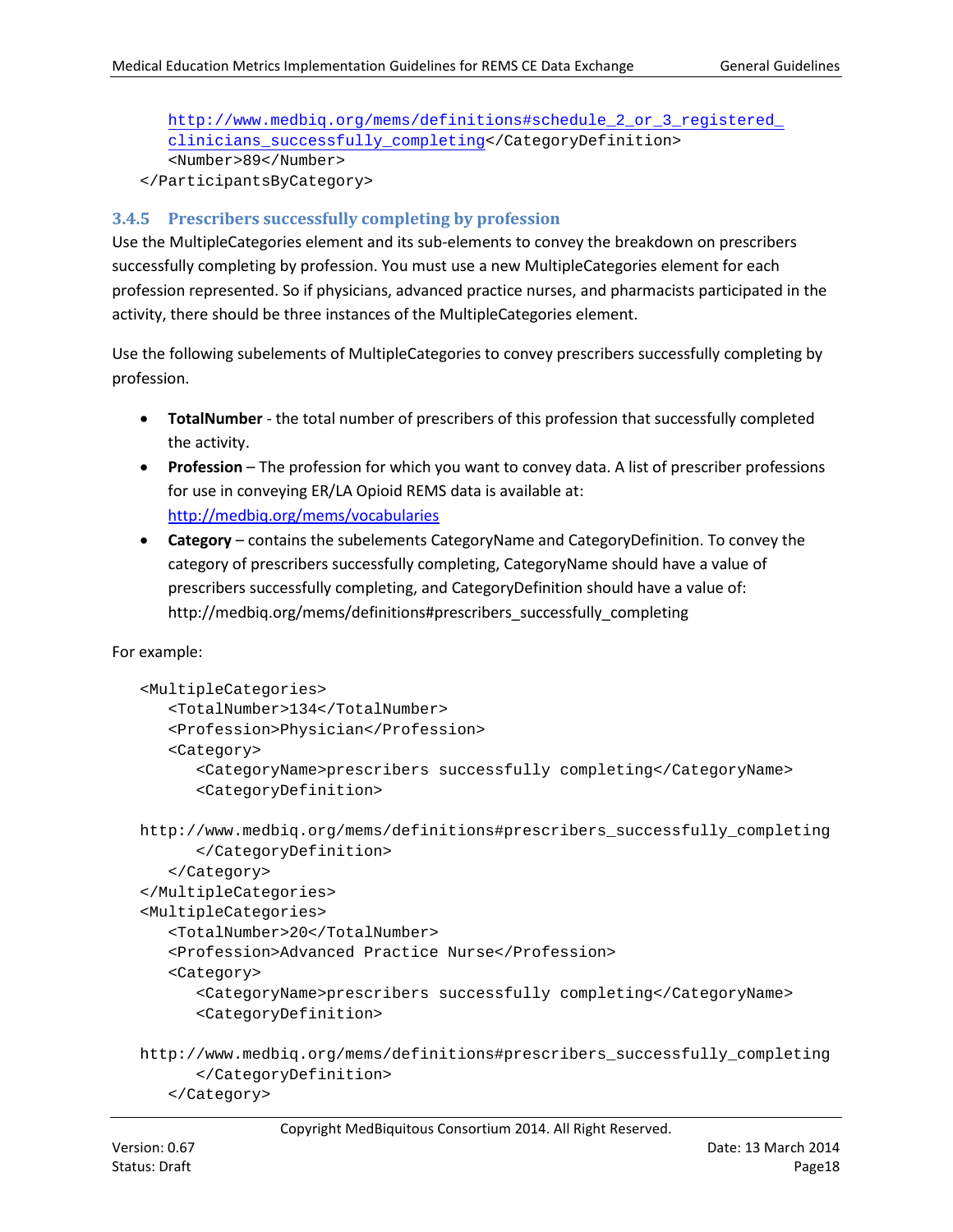#### [http://www.medbiq.org/mems/definitions#schedule\\_2\\_or\\_3\\_registered\\_](http://www.medbiq.org/mems/definitions#schedule_2_or_3_registered_ clinicians_successfully_completing) [clinicians\\_successfully\\_completing<](http://www.medbiq.org/mems/definitions#schedule_2_or_3_registered_ clinicians_successfully_completing)/CategoryDefinition> <Number>89</Number>

</ParticipantsByCategory>

## <span id="page-17-0"></span>**3.4.5 Prescribers successfully completing by profession**

Use the MultipleCategories element and its sub-elements to convey the breakdown on prescribers successfully completing by profession. You must use a new MultipleCategories element for each profession represented. So if physicians, advanced practice nurses, and pharmacists participated in the activity, there should be three instances of the MultipleCategories element.

Use the following subelements of MultipleCategories to convey prescribers successfully completing by profession.

- **TotalNumber** the total number of prescribers of this profession that successfully completed the activity.
- **Profession** The profession for which you want to convey data. A list of prescriber professions for use in conveying ER/LA Opioid REMS data is available at: <http://medbiq.org/mems/vocabularies>
- **Category** contains the subelements CategoryName and CategoryDefinition. To convey the category of prescribers successfully completing, CategoryName should have a value of prescribers successfully completing, and CategoryDefinition should have a value of: http://medbiq.org/mems/definitions#prescribers\_successfully\_completing

For example:

```
<MultipleCategories>
   <TotalNumber>134</TotalNumber>
   <Profession>Physician</Profession>
   <Category>
      <CategoryName>prescribers successfully completing</CategoryName>
      <CategoryDefinition>
http://www.medbiq.org/mems/definitions#prescribers_successfully_completing
      </CategoryDefinition>
   </Category>
</MultipleCategories>
<MultipleCategories>
   <TotalNumber>20</TotalNumber>
   <Profession>Advanced Practice Nurse</Profession>
   <Category>
      <CategoryName>prescribers successfully completing</CategoryName>
      <CategoryDefinition>
http://www.medbiq.org/mems/definitions#prescribers_successfully_completing
```
</Category>

</CategoryDefinition>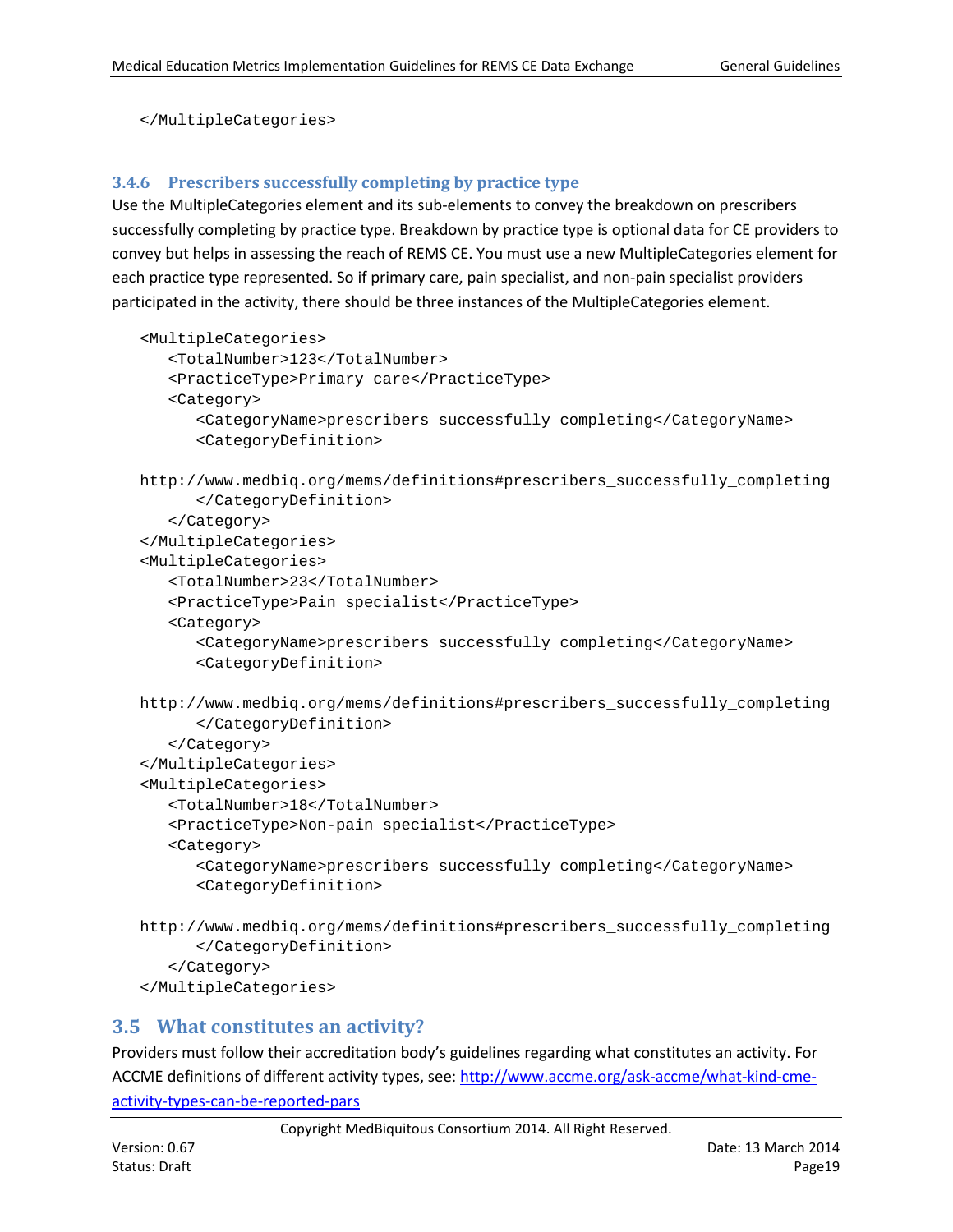```
</MultipleCategories>
```
#### <span id="page-18-0"></span>**3.4.6 Prescribers successfully completing by practice type**

Use the MultipleCategories element and its sub-elements to convey the breakdown on prescribers successfully completing by practice type. Breakdown by practice type is optional data for CE providers to convey but helps in assessing the reach of REMS CE. You must use a new MultipleCategories element for each practice type represented. So if primary care, pain specialist, and non-pain specialist providers participated in the activity, there should be three instances of the MultipleCategories element.

```
<MultipleCategories>
   <TotalNumber>123</TotalNumber>
   <PracticeType>Primary care</PracticeType>
   <Category>
      <CategoryName>prescribers successfully completing</CategoryName>
      <CategoryDefinition>
http://www.medbiq.org/mems/definitions#prescribers_successfully_completing
      </CategoryDefinition>
   </Category>
</MultipleCategories>
<MultipleCategories>
   <TotalNumber>23</TotalNumber>
   <PracticeType>Pain specialist</PracticeType>
   <Category>
      <CategoryName>prescribers successfully completing</CategoryName>
      <CategoryDefinition>
http://www.medbiq.org/mems/definitions#prescribers_successfully_completing
      </CategoryDefinition>
   </Category>
</MultipleCategories>
<MultipleCategories>
   <TotalNumber>18</TotalNumber>
   <PracticeType>Non-pain specialist</PracticeType>
   <Category>
      <CategoryName>prescribers successfully completing</CategoryName>
      <CategoryDefinition>
http://www.medbiq.org/mems/definitions#prescribers_successfully_completing
      </CategoryDefinition>
   </Category>
</MultipleCategories>
```
## <span id="page-18-1"></span>**3.5 What constitutes an activity?**

Providers must follow their accreditation body's guidelines regarding what constitutes an activity. For ACCME definitions of different activity types, see[: http://www.accme.org/ask-accme/what-kind-cme](http://www.accme.org/ask-accme/what-kind-cme-activity-types-can-be-reported-pars)[activity-types-can-be-reported-pars](http://www.accme.org/ask-accme/what-kind-cme-activity-types-can-be-reported-pars)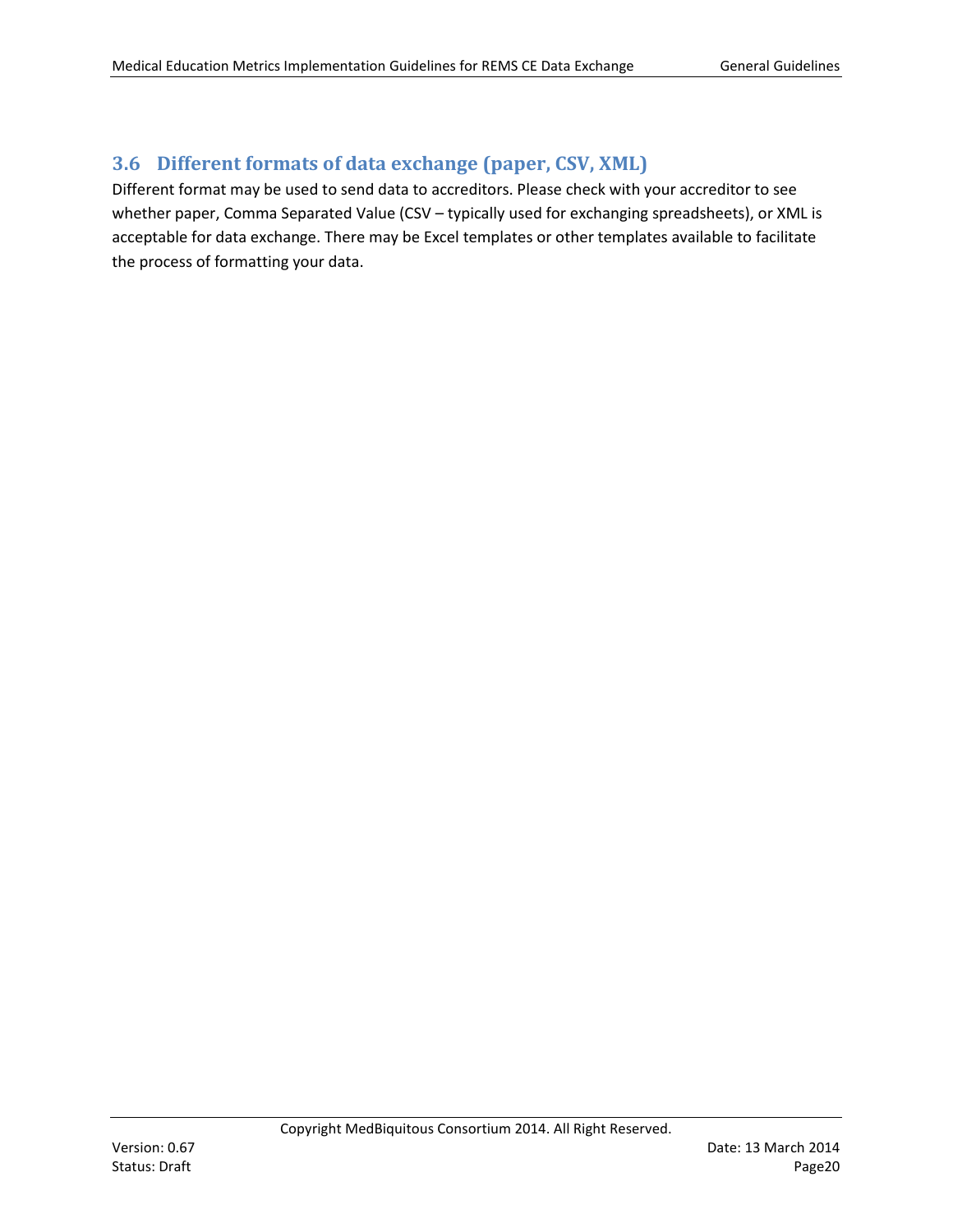# <span id="page-19-0"></span>**3.6 Different formats of data exchange (paper, CSV, XML)**

Different format may be used to send data to accreditors. Please check with your accreditor to see whether paper, Comma Separated Value (CSV - typically used for exchanging spreadsheets), or XML is acceptable for data exchange. There may be Excel templates or other templates available to facilitate the process of formatting your data.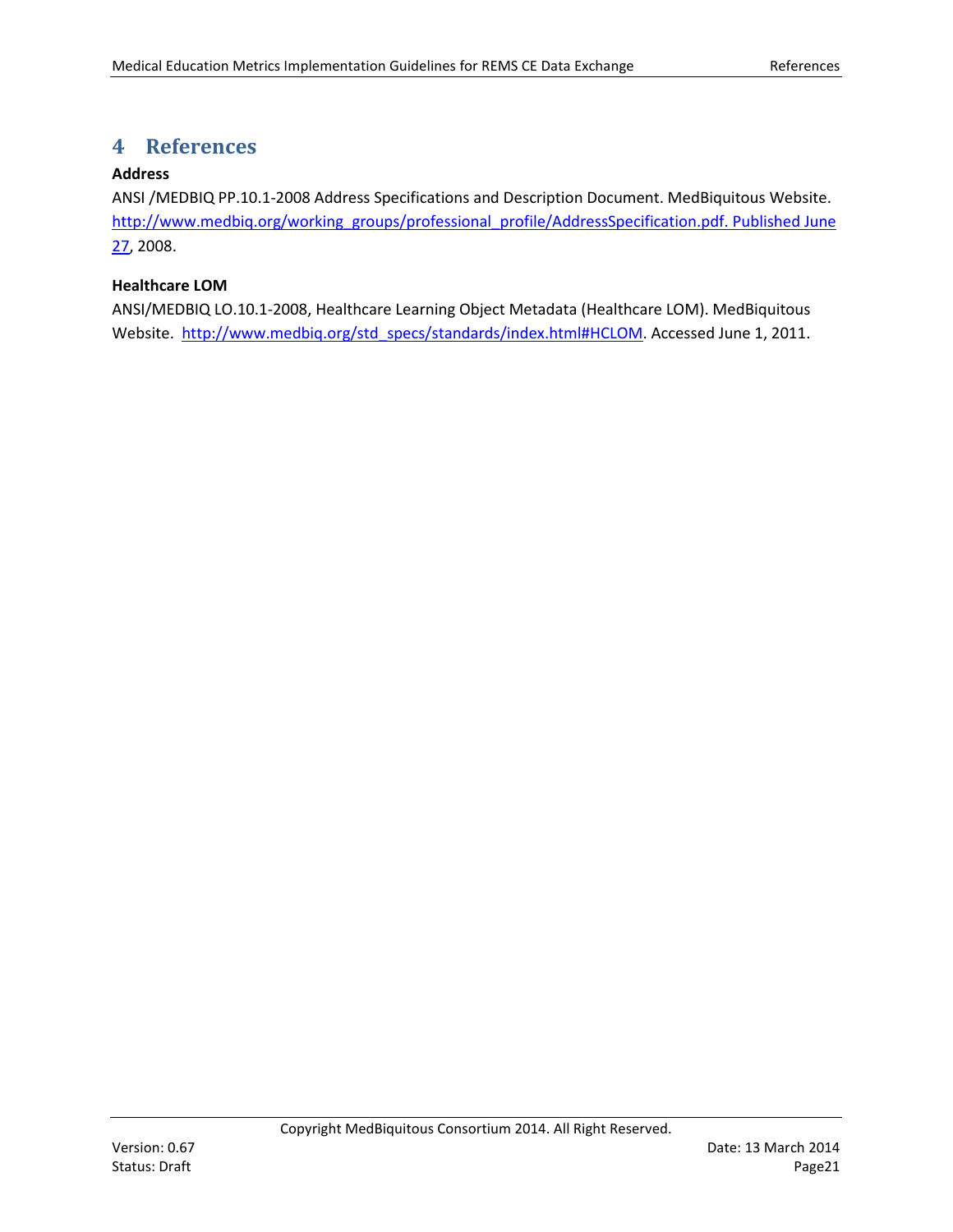# <span id="page-20-0"></span>**4 References**

## <span id="page-20-2"></span>**Address**

ANSI /MEDBIQ PP.10.1-2008 Address Specifications and Description Document. MedBiquitous Website. http://www.medbiq.org/working\_groups/professional\_profile/AddressSpecification.pdf. Published June [27,](http://www.medbiq.org/working_groups/professional_profile/AddressSpecification.pdf.%20Published%20June%2027) 2008.

## <span id="page-20-1"></span>**Healthcare LOM**

ANSI/MEDBIQ LO.10.1-2008, Healthcare Learning Object Metadata (Healthcare LOM). MedBiquitous Website. [http://www.medbiq.org/std\\_specs/standards/index.html#HCLOM.](http://www.medbiq.org/std_specs/standards/index.html#HCLOM) Accessed June 1, 2011.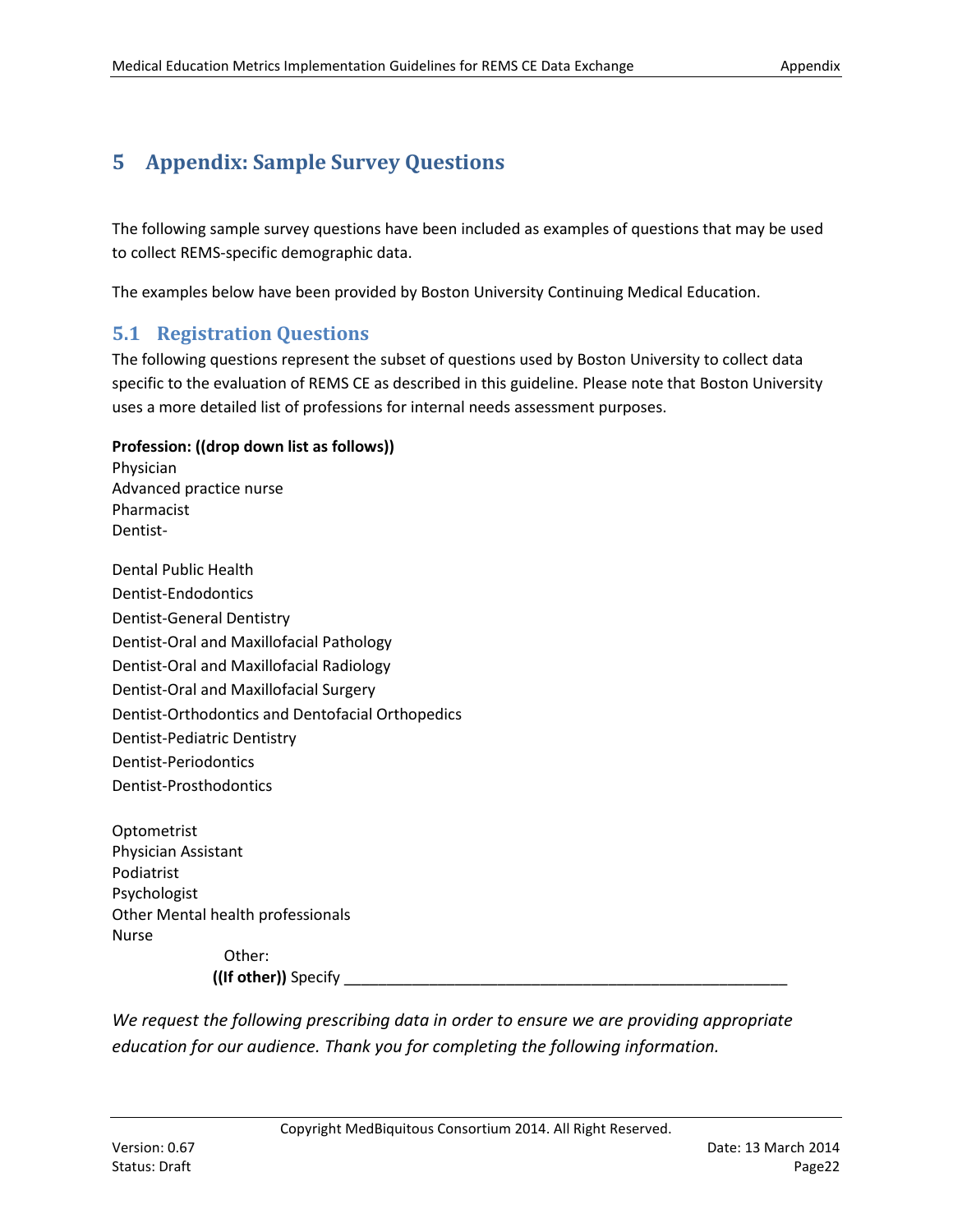# **5 Appendix: Sample Survey Questions**

The following sample survey questions have been included as examples of questions that may be used to collect REMS-specific demographic data.

The examples below have been provided by Boston University Continuing Medical Education.

# <span id="page-21-0"></span>**5.1 Registration Questions**

The following questions represent the subset of questions used by Boston University to collect data specific to the evaluation of REMS CE as described in this guideline. Please note that Boston University uses a more detailed list of professions for internal needs assessment purposes.

#### **Profession: ((drop down list as follows))**

Physician Advanced practice nurse Pharmacist Dentist-

Dental Public Health Dentist-Endodontics Dentist-General Dentistry Dentist-Oral and Maxillofacial Pathology Dentist-Oral and Maxillofacial Radiology Dentist-Oral and Maxillofacial Surgery Dentist-Orthodontics and Dentofacial Orthopedics Dentist-Pediatric Dentistry Dentist-Periodontics Dentist-Prosthodontics

Optometrist Physician Assistant Podiatrist Psychologist Other Mental health professionals Nurse Other:

**((If other))** Specify

*We request the following prescribing data in order to ensure we are providing appropriate education for our audience. Thank you for completing the following information.*